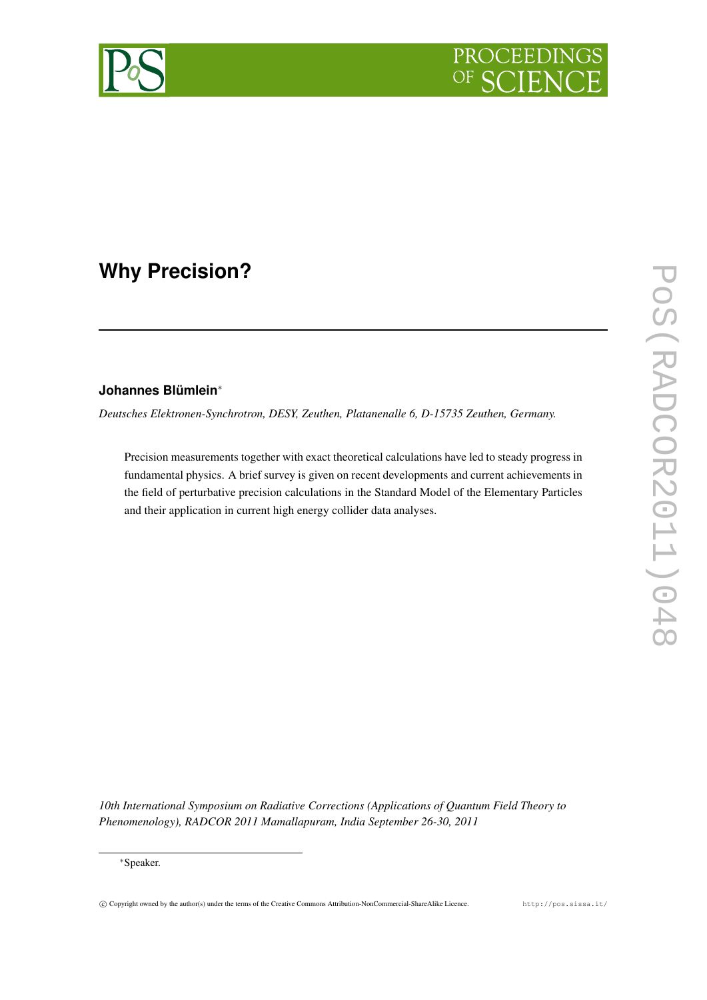

# **Why Precision?**

# **Johannes Blümlein**<sup>∗</sup>

*Deutsches Elektronen-Synchrotron, DESY, Zeuthen, Platanenalle 6, D-15735 Zeuthen, Germany.*

Precision measurements together with exact theoretical calculations have led to steady progress in fundamental physics. A brief survey is given on recent developments and current achievements in the field of perturbative precision calculations in the Standard Model of the Elementary Particles and their application in current high energy collider data analyses.

*10th International Symposium on Radiative Corrections (Applications of Quantum Field Theory to Phenomenology), RADCOR 2011 Mamallapuram, India September 26-30, 2011*



<sup>∗</sup>Speaker.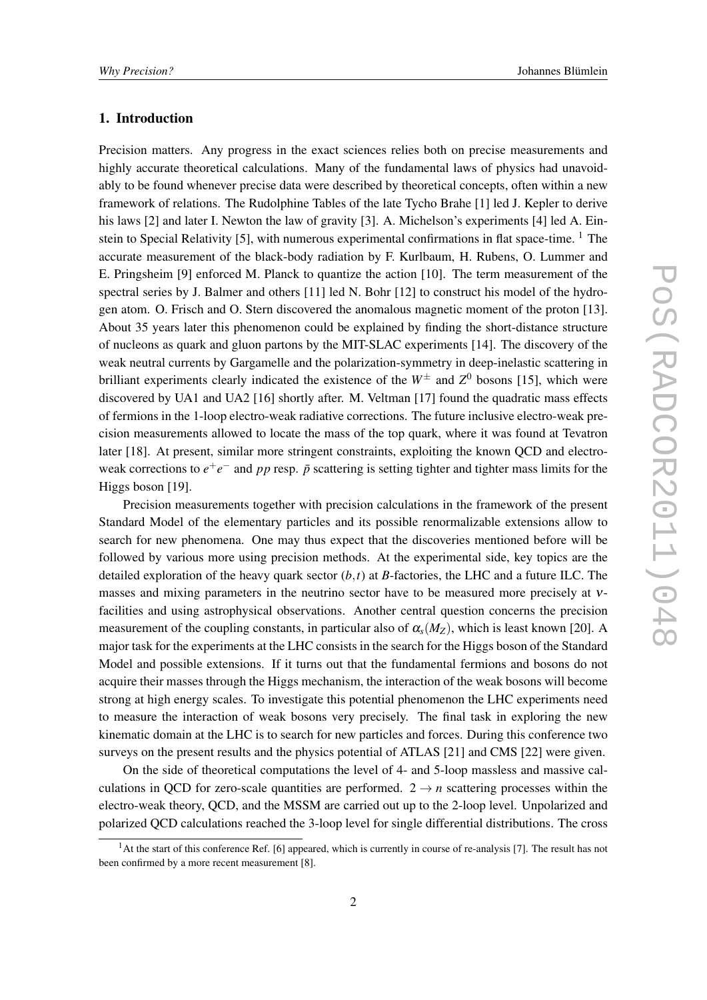#### 1. Introduction

Precision matters. Any progress in the exact sciences relies both on precise measurements and highly accurate theoretical calculations. Many of the fundamental laws of physics had unavoidably to be found whenever precise data were described by theoretical concepts, often within a new framework of relations. The Rudolphine Tables of the late Tycho Brahe [1] led J. Kepler to derive his laws [2] and later I. Newton the law of gravity [3]. A. Michelson's experiments [4] led A. Einstein to Special Relativity [5], with numerous experimental confirmations in flat space-time.  $\frac{1}{1}$  The accurate measurement of the black-body radiation by F. Kurlbaum, H. Rubens, O. Lummer and E. Pringsheim [9] enforced M. Planck to quantize the action [10]. The term measurement of the spectral series by J. Balmer and others [11] led N. Bohr [12] to construct his model of the hydrogen atom. O. Frisch and O. Stern discovered the anomalous magnetic moment of the proton [13]. About 35 years later this phenomenon could be explained by finding the short-distance structure of nucleons as quark and gluon partons by the MIT-SLAC experiments [14]. The discovery of the weak neutral currents by Gargamelle and the polarization-symmetry in deep-inelastic scattering in brilliant experiments clearly indicated the existence of the  $W^{\pm}$  and  $Z^{0}$  bosons [15], which were discovered by UA1 and UA2 [16] shortly after. M. Veltman [17] found the quadratic mass effects of fermions in the 1-loop electro-weak radiative corrections. The future inclusive electro-weak precision measurements allowed to locate the mass of the top quark, where it was found at Tevatron later [18]. At present, similar more stringent constraints, exploiting the known QCD and electroweak corrections to  $e^+e^-$  and pp resp.  $\bar{p}$  scattering is setting tighter and tighter mass limits for the Higgs boson [19].

Precision measurements together with precision calculations in the framework of the present Standard Model of the elementary particles and its possible renormalizable extensions allow to search for new phenomena. One may thus expect that the discoveries mentioned before will be followed by various more using precision methods. At the experimental side, key topics are the detailed exploration of the heavy quark sector  $(b, t)$  at *B*-factories, the LHC and a future ILC. The masses and mixing parameters in the neutrino sector have to be measured more precisely at νfacilities and using astrophysical observations. Another central question concerns the precision measurement of the coupling constants, in particular also of  $\alpha_s(M_Z)$ , which is least known [20]. A major task for the experiments at the LHC consists in the search for the Higgs boson of the Standard Model and possible extensions. If it turns out that the fundamental fermions and bosons do not acquire their masses through the Higgs mechanism, the interaction of the weak bosons will become strong at high energy scales. To investigate this potential phenomenon the LHC experiments need to measure the interaction of weak bosons very precisely. The final task in exploring the new kinematic domain at the LHC is to search for new particles and forces. During this conference two surveys on the present results and the physics potential of ATLAS [21] and CMS [22] were given.

On the side of theoretical computations the level of 4- and 5-loop massless and massive calculations in QCD for zero-scale quantities are performed.  $2 \rightarrow n$  scattering processes within the electro-weak theory, QCD, and the MSSM are carried out up to the 2-loop level. Unpolarized and polarized QCD calculations reached the 3-loop level for single differential distributions. The cross

 $<sup>1</sup>$ At the start of this conference Ref. [6] appeared, which is currently in course of re-analysis [7]. The result has not</sup> been confirmed by a more recent measurement [8].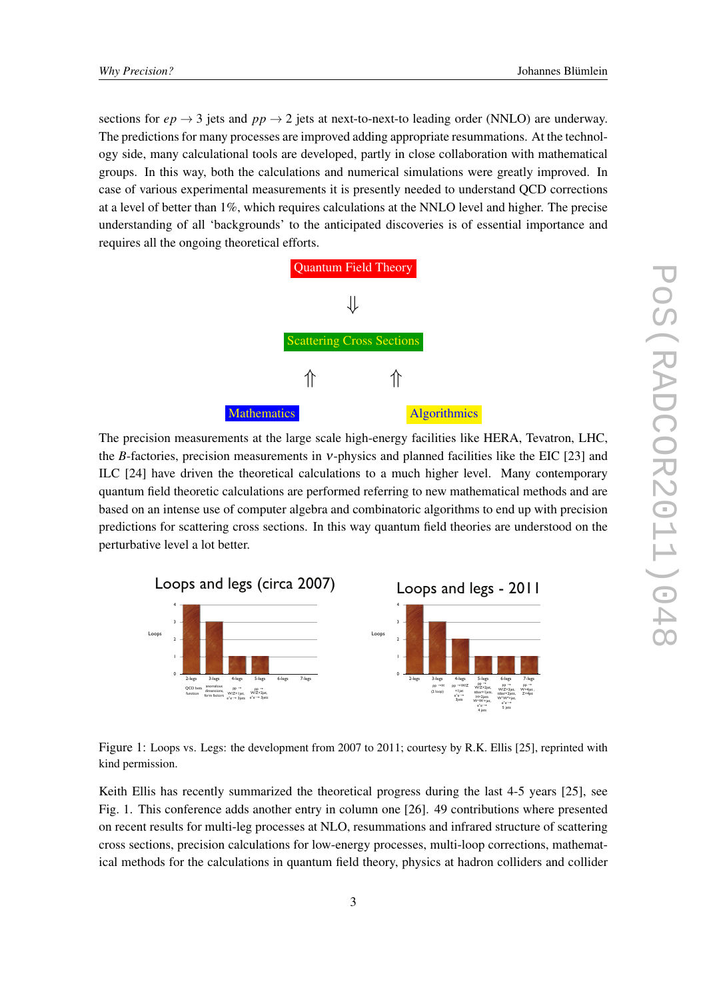sections for  $ep \rightarrow 3$  jets and  $pp \rightarrow 2$  jets at next-to-next-to leading order (NNLO) are underway. The predictions for many processes are improved adding appropriate resummations. At the technology side, many calculational tools are developed, partly in close collaboration with mathematical groups. In this way, both the calculations and numerical simulations were greatly improved. In case of various experimental measurements it is presently needed to understand QCD corrections at a level of better than 1%, which requires calculations at the NNLO level and higher. The precise understanding of all 'backgrounds' to the anticipated discoveries is of essential importance and requires all the ongoing theoretical efforts.



The precision measurements at the large scale high-energy facilities like HERA, Tevatron, LHC, the *B*-factories, precision measurements in *v*-physics and planned facilities like the EIC [23] and ILC [24] have driven the theoretical calculations to a much higher level. Many contemporary quantum field theoretic calculations are performed referring to new mathematical methods and are based on an intense use of computer algebra and combinatoric algorithms to end up with precision predictions for scattering cross sections. In this way quantum field theories are understood on the perturbative level a lot better.



Figure 1: Loops vs. Legs: the development from 2007 to 2011; courtesy by R.K. Ellis [25], reprinted with kind permission.

Keith Ellis has recently summarized the theoretical progress during the last 4-5 years [25], see Fig. 1. This conference adds another entry in column one [26]. 49 contributions where presented on recent results for multi-leg processes at NLO, resummations and infrared structure of scattering cross sections, precision calculations for low-energy processes, multi-loop corrections, mathematical methods for the calculations in quantum field theory, physics at hadron colliders and collider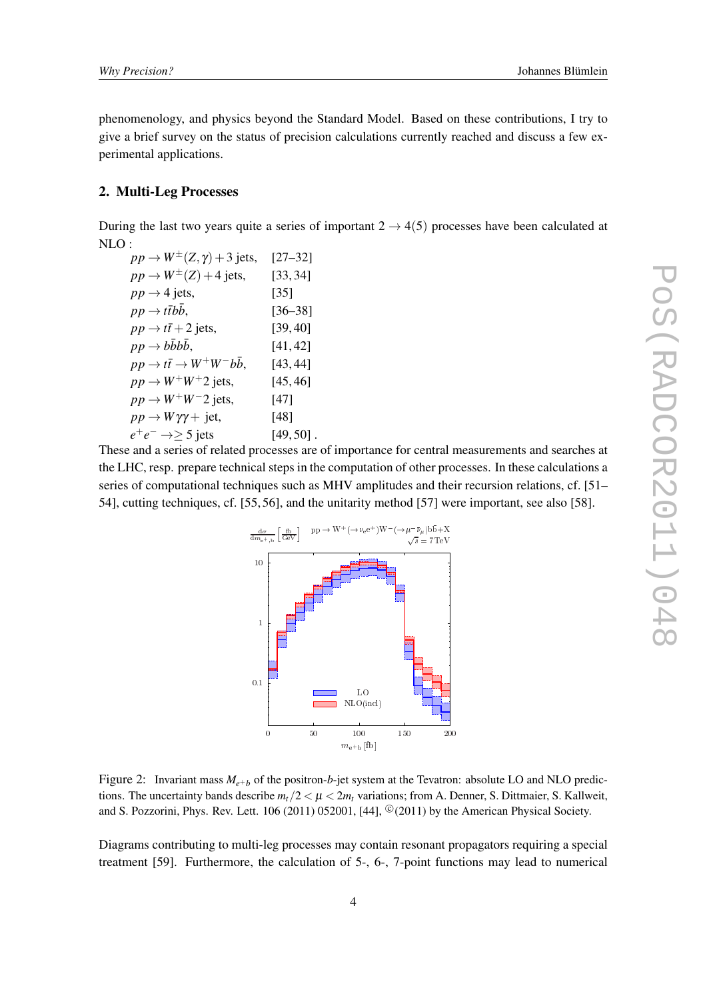<span id="page-3-0"></span>phenomenology, and physics beyond the Standard Model. Based on these contributions, I try to give a brief survey on the status of precision calculations currently reached and discuss a few experimental applications.

#### 2. Multi-Leg Processes

During the last two years quite a series of important  $2 \rightarrow 4(5)$  processes have been calculated at NLO :

| $pp \rightarrow W^{\pm}(Z, \gamma) + 3$ jets,              | $[27 - 32]$  |
|------------------------------------------------------------|--------------|
| $pp \rightarrow W^{\pm}(Z) + 4$ jets,                      | [33, 34]     |
| $pp \rightarrow 4$ jets,                                   | $[35]$       |
| $pp \rightarrow t\bar{t}bb,$                               | $[36 - 38]$  |
| $pp \rightarrow t\bar{t} + 2$ jets,                        | [39, 40]     |
| $pp \rightarrow b\bar{b}bb$ ,                              | [41, 42]     |
| $pp \rightarrow t\bar{t} \rightarrow W^{+}W^{-}b\bar{b}$ , | [43, 44]     |
| $pp \rightarrow W^+W^+2$ jets,                             | [45, 46]     |
| $pp \rightarrow W^+W^-2$ jets,                             | [47]         |
| $pp \rightarrow W\gamma\gamma + \text{jet},$               | $[48]$       |
| $e^+e^- \rightarrow \geq 5$ jets                           | $[49, 50]$ . |
|                                                            |              |

These and a series of related processes are of importance for central measurements and searches at the LHC, resp. prepare technical steps in the computation of other processes. In these calculations a series of computational techniques such as MHV amplitudes and their recursion relations, cf. [51– 54], cutting techniques, cf. [55, 56], and the unitarity method [57] were important, see also [58].



Figure 2: Invariant mass  $M_{e^+b}$  of the positron-*b*-jet system at the Tevatron: absolute LO and NLO predictions. The uncertainty bands describe  $m_t/2 < \mu < 2m_t$  variations; from A. Denner, S. Dittmaier, S. Kallweit, and S. Pozzorini, Phys. Rev. Lett.  $106(2011) 052001$ , [44],  $^{\circledR}(2011)$  by the American Physical Society.

Diagrams contributing to multi-leg processes may contain resonant propagators requiring a special treatment [59]. Furthermore, the calculation of 5-, 6-, 7-point functions may lead to numerical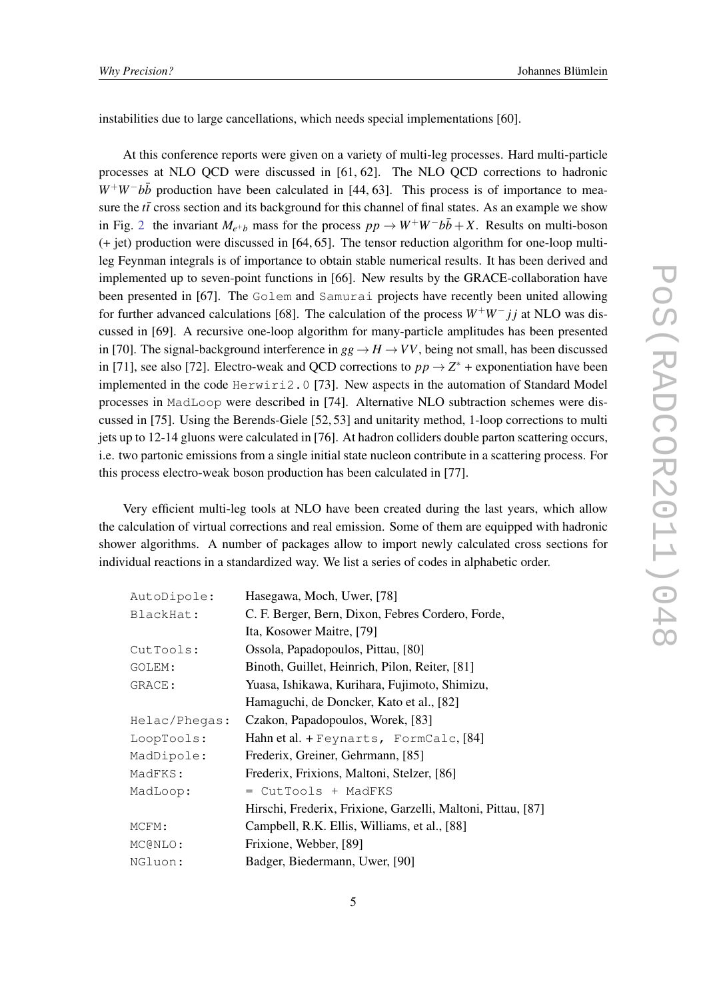instabilities due to large cancellations, which needs special implementations [60].

At this conference reports were given on a variety of multi-leg processes. Hard multi-particle processes at NLO QCD were discussed in [61, 62]. The NLO QCD corrections to hadronic  $W^+W^-b\bar{b}$  production have been calculated in [44, 63]. This process is of importance to measure the  $t\bar{t}$  cross section and its background for this channel of final states. As an example we show in Fig. [2](#page-3-0) the invariant  $M_{e^+b}$  mass for the process  $pp \to W^+W^-b\bar{b}+X$ . Results on multi-boson (+ jet) production were discussed in [64, 65]. The tensor reduction algorithm for one-loop multileg Feynman integrals is of importance to obtain stable numerical results. It has been derived and implemented up to seven-point functions in [66]. New results by the GRACE-collaboration have been presented in [67]. The Golem and Samurai projects have recently been united allowing for further advanced calculations [68]. The calculation of the process *W*+*W*<sup>−</sup> *j j* at NLO was discussed in [69]. A recursive one-loop algorithm for many-particle amplitudes has been presented in [70]. The signal-background interference in  $gg \to H \to VV$ , being not small, has been discussed in [71], see also [72]. Electro-weak and QCD corrections to  $pp \rightarrow Z^*$  + exponentiation have been implemented in the code Herwiri2.0 [73]. New aspects in the automation of Standard Model processes in MadLoop were described in [74]. Alternative NLO subtraction schemes were discussed in [75]. Using the Berends-Giele [52, 53] and unitarity method, 1-loop corrections to multi jets up to 12-14 gluons were calculated in [76]. At hadron colliders double parton scattering occurs, i.e. two partonic emissions from a single initial state nucleon contribute in a scattering process. For this process electro-weak boson production has been calculated in [77].

Very efficient multi-leg tools at NLO have been created during the last years, which allow the calculation of virtual corrections and real emission. Some of them are equipped with hadronic shower algorithms. A number of packages allow to import newly calculated cross sections for individual reactions in a standardized way. We list a series of codes in alphabetic order.

| AutoDipole:   | Hasegawa, Moch, Uwer, [78]                                   |  |
|---------------|--------------------------------------------------------------|--|
| BlackHat:     | C. F. Berger, Bern, Dixon, Febres Cordero, Forde,            |  |
|               | Ita, Kosower Maitre, [79]                                    |  |
| CutTools:     | Ossola, Papadopoulos, Pittau, [80]                           |  |
| GOLEM:        | Binoth, Guillet, Heinrich, Pilon, Reiter, [81]               |  |
| GRACE:        | Yuasa, Ishikawa, Kurihara, Fujimoto, Shimizu,                |  |
|               | Hamaguchi, de Doncker, Kato et al., [82]                     |  |
| Helac/Phegas: | Czakon, Papadopoulos, Worek, [83]                            |  |
| LoopTools:    | Hahn et al. + Feynarts, FormCalc, [84]                       |  |
| MadDipole:    | Frederix, Greiner, Gehrmann, [85]                            |  |
| MadFKS:       | Frederix, Frixions, Maltoni, Stelzer, [86]                   |  |
| MadLoop:      | = CutTools + MadFKS                                          |  |
|               | Hirschi, Frederix, Frixione, Garzelli, Maltoni, Pittau, [87] |  |
| MCFM:         | Campbell, R.K. Ellis, Williams, et al., [88]                 |  |
| MC@NLO:       | Frixione, Webber, [89]                                       |  |
| NGluon:       | Badger, Biedermann, Uwer, [90]                               |  |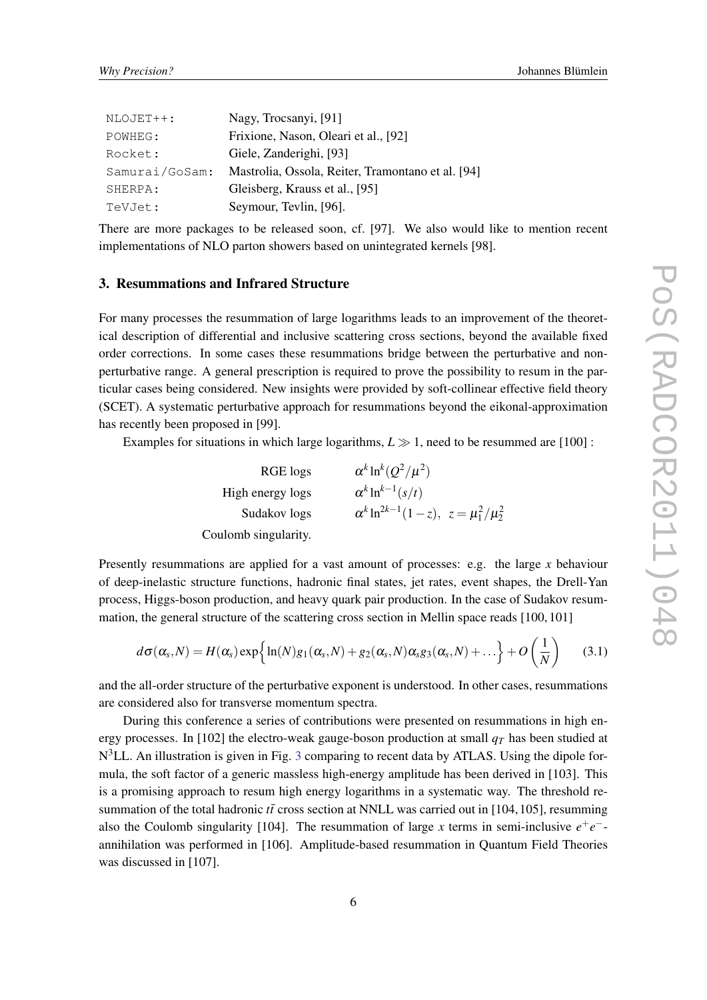| NLOJET++:      | Nagy, Trocsanyi, [91]                             |  |
|----------------|---------------------------------------------------|--|
| POWHEG:        | Frixione, Nason, Oleari et al., [92]              |  |
| Rocket:        | Giele, Zanderighi, [93]                           |  |
| Samurai/GoSam: | Mastrolia, Ossola, Reiter, Tramontano et al. [94] |  |
| SHERPA:        | Gleisberg, Krauss et al., [95]                    |  |
| TeVJet:        | Seymour, Tevlin, [96].                            |  |

There are more packages to be released soon, cf. [97]. We also would like to mention recent implementations of NLO parton showers based on unintegrated kernels [98].

#### 3. Resummations and Infrared Structure

For many processes the resummation of large logarithms leads to an improvement of the theoretical description of differential and inclusive scattering cross sections, beyond the available fixed order corrections. In some cases these resummations bridge between the perturbative and nonperturbative range. A general prescription is required to prove the possibility to resum in the particular cases being considered. New insights were provided by soft-collinear effective field theory (SCET). A systematic perturbative approach for resummations beyond the eikonal-approximation has recently been proposed in [99].

Examples for situations in which large logarithms,  $L \gg 1$ , need to be resummed are [100] :

RGE logs  $\int^k \ln^k (Q^2/\mu^2)$ High energy logs  $k \ln^{k-1}(s/t)$ Sudakov logs  $k \ln^{2k-1}(1-z), \ z = \mu_1^2/\mu_2^2$ Coulomb singularity.

Presently resummations are applied for a vast amount of processes: e.g. the large *x* behaviour of deep-inelastic structure functions, hadronic final states, jet rates, event shapes, the Drell-Yan process, Higgs-boson production, and heavy quark pair production. In the case of Sudakov resummation, the general structure of the scattering cross section in Mellin space reads [100, 101]

$$
d\sigma(\alpha_s,N) = H(\alpha_s) \exp\left\{\ln(N)g_1(\alpha_s,N) + g_2(\alpha_s,N)\alpha_s g_3(\alpha_s,N) + \dots\right\} + O\left(\frac{1}{N}\right) \tag{3.1}
$$

and the all-order structure of the perturbative exponent is understood. In other cases, resummations are considered also for transverse momentum spectra.

During this conference a series of contributions were presented on resummations in high energy processes. In [102] the electro-weak gauge-boson production at small  $q<sub>T</sub>$  has been studied at N<sup>[3](#page-6-0)</sup>LL. An illustration is given in Fig. 3 comparing to recent data by ATLAS. Using the dipole formula, the soft factor of a generic massless high-energy amplitude has been derived in [103]. This is a promising approach to resum high energy logarithms in a systematic way. The threshold resummation of the total hadronic  $t\bar{t}$  cross section at NNLL was carried out in [104,105], resumming also the Coulomb singularity [104]. The resummation of large *x* terms in semi-inclusive  $e^+e^$ annihilation was performed in [106]. Amplitude-based resummation in Quantum Field Theories was discussed in [107].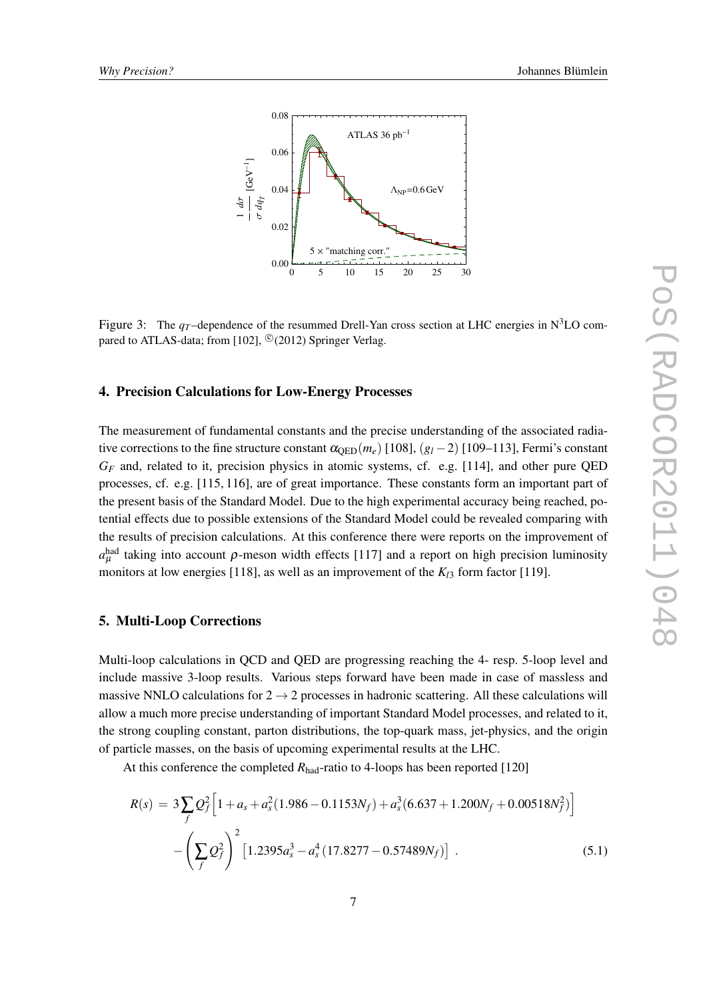<span id="page-6-0"></span>

Figure 3: The  $q_T$ -dependence of the resummed Drell-Yan cross section at LHC energies in N<sup>3</sup>LO compared to ATLAS-data; from [102],  $^{\copyright}(2012)$  Springer Verlag.

#### 4. Precision Calculations for Low-Energy Processes

The measurement of fundamental constants and the precise understanding of the associated radiative corrections to the fine structure constant  $\alpha_{\text{ORD}}(m_e)$  [108],  $(g_l - 2)$  [109–113], Fermi's constant *G<sup>F</sup>* and, related to it, precision physics in atomic systems, cf. e.g. [114], and other pure QED processes, cf. e.g. [115, 116], are of great importance. These constants form an important part of the present basis of the Standard Model. Due to the high experimental accuracy being reached, potential effects due to possible extensions of the Standard Model could be revealed comparing with the results of precision calculations. At this conference there were reports on the improvement of  $a_{\mu}^{\text{had}}$  taking into account  $\rho$ -meson width effects [117] and a report on high precision luminosity monitors at low energies [118], as well as an improvement of the *Kl*<sup>3</sup> form factor [119].

#### 5. Multi-Loop Corrections

Multi-loop calculations in QCD and QED are progressing reaching the 4- resp. 5-loop level and include massive 3-loop results. Various steps forward have been made in case of massless and massive NNLO calculations for  $2 \rightarrow 2$  processes in hadronic scattering. All these calculations will allow a much more precise understanding of important Standard Model processes, and related to it, the strong coupling constant, parton distributions, the top-quark mass, jet-physics, and the origin of particle masses, on the basis of upcoming experimental results at the LHC.

At this conference the completed *R*<sub>had</sub>-ratio to 4-loops has been reported [120]

$$
R(s) = 3\sum_{f} Q_f^2 \Big[ 1 + a_s + a_s^2 (1.986 - 0.1153N_f) + a_s^3 (6.637 + 1.200N_f + 0.00518N_f^2) \Big] - \left( \sum_{f} Q_f^2 \right)^2 \Big[ 1.2395a_s^3 - a_s^4 (17.8277 - 0.57489N_f) \Big] .
$$
 (5.1)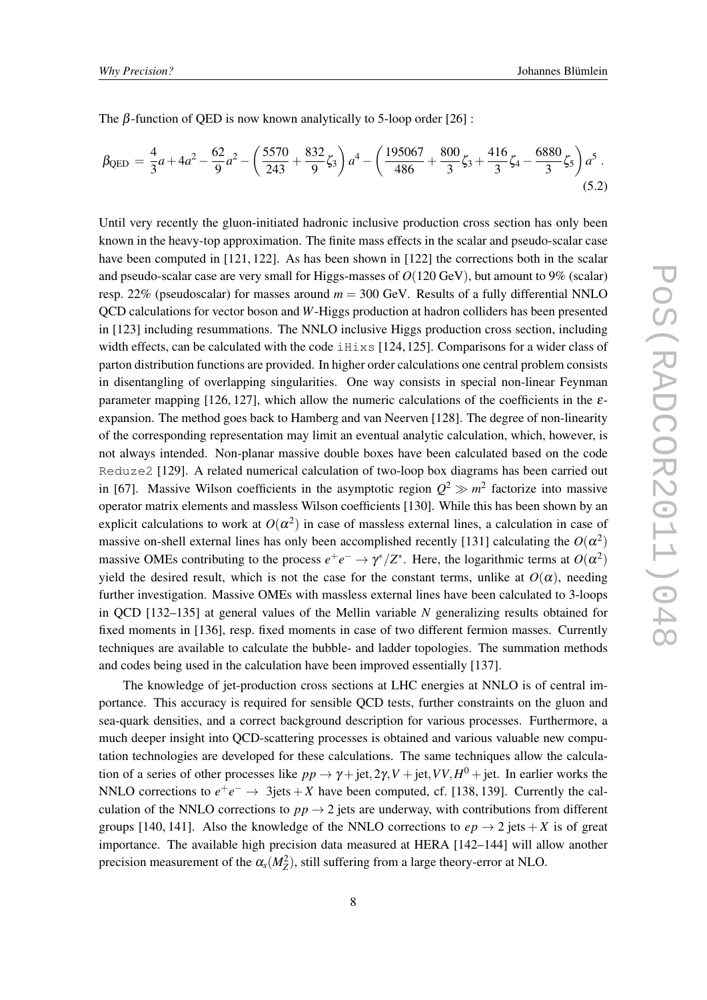The  $\beta$ -function of QED is now known analytically to 5-loop order [26] :

$$
\beta_{\text{QED}} = \frac{4}{3}a + 4a^2 - \frac{62}{9}a^2 - \left(\frac{5570}{243} + \frac{832}{9}\zeta_3\right)a^4 - \left(\frac{195067}{486} + \frac{800}{3}\zeta_3 + \frac{416}{3}\zeta_4 - \frac{6880}{3}\zeta_5\right)a^5.
$$
\n(5.2)

Until very recently the gluon-initiated hadronic inclusive production cross section has only been known in the heavy-top approximation. The finite mass effects in the scalar and pseudo-scalar case have been computed in [121, 122]. As has been shown in [122] the corrections both in the scalar and pseudo-scalar case are very small for Higgs-masses of *O*(120 GeV), but amount to 9% (scalar) resp. 22% (pseudoscalar) for masses around  $m = 300$  GeV. Results of a fully differential NNLO QCD calculations for vector boson and *W*-Higgs production at hadron colliders has been presented in [123] including resummations. The NNLO inclusive Higgs production cross section, including width effects, can be calculated with the code  $\pm$ H $\pm$ xs [124, 125]. Comparisons for a wider class of parton distribution functions are provided. In higher order calculations one central problem consists in disentangling of overlapping singularities. One way consists in special non-linear Feynman parameter mapping [126, 127], which allow the numeric calculations of the coefficients in the  $\varepsilon$ expansion. The method goes back to Hamberg and van Neerven [128]. The degree of non-linearity of the corresponding representation may limit an eventual analytic calculation, which, however, is not always intended. Non-planar massive double boxes have been calculated based on the code Reduze2 [129]. A related numerical calculation of two-loop box diagrams has been carried out in [67]. Massive Wilson coefficients in the asymptotic region  $Q^2 \gg m^2$  factorize into massive operator matrix elements and massless Wilson coefficients [130]. While this has been shown by an explicit calculations to work at  $O(\alpha^2)$  in case of massless external lines, a calculation in case of massive on-shell external lines has only been accomplished recently [131] calculating the  $O(\alpha^2)$ massive OMEs contributing to the process  $e^+e^- \to \gamma^*/Z^*$ . Here, the logarithmic terms at  $O(\alpha^2)$ yield the desired result, which is not the case for the constant terms, unlike at  $O(\alpha)$ , needing further investigation. Massive OMEs with massless external lines have been calculated to 3-loops in QCD [132–135] at general values of the Mellin variable *N* generalizing results obtained for fixed moments in [136], resp. fixed moments in case of two different fermion masses. Currently techniques are available to calculate the bubble- and ladder topologies. The summation methods and codes being used in the calculation have been improved essentially [137].

The knowledge of jet-production cross sections at LHC energies at NNLO is of central importance. This accuracy is required for sensible QCD tests, further constraints on the gluon and sea-quark densities, and a correct background description for various processes. Furthermore, a much deeper insight into QCD-scattering processes is obtained and various valuable new computation technologies are developed for these calculations. The same techniques allow the calculation of a series of other processes like  $pp \to \gamma + \text{jet}, 2\gamma, V + \text{jet}, VV, H^0 + \text{jet}$ . In earlier works the NNLO corrections to  $e^+e^- \rightarrow 3$ jets + *X* have been computed, cf. [138, 139]. Currently the calculation of the NNLO corrections to  $pp \rightarrow 2$  jets are underway, with contributions from different groups [140, 141]. Also the knowledge of the NNLO corrections to  $ep \rightarrow 2$  jets + *X* is of great importance. The available high precision data measured at HERA [142–144] will allow another precision measurement of the  $\alpha_s(M_Z^2)$ , still suffering from a large theory-error at NLO.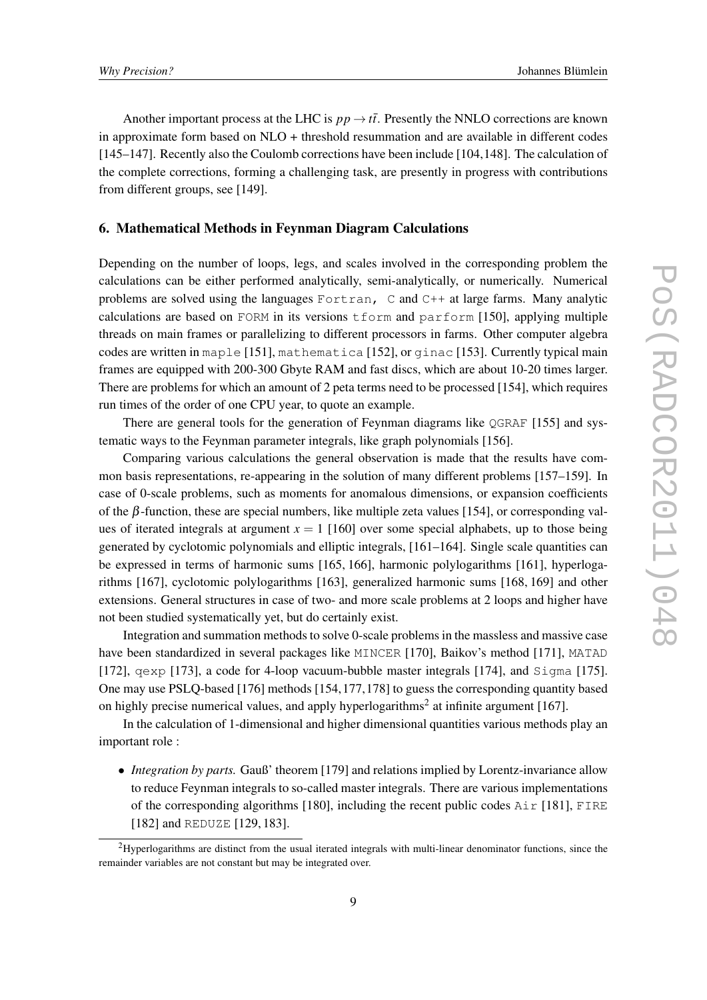Another important process at the LHC is  $pp \rightarrow t\bar{t}$ . Presently the NNLO corrections are known in approximate form based on NLO + threshold resummation and are available in different codes [145–147]. Recently also the Coulomb corrections have been include [104,148]. The calculation of the complete corrections, forming a challenging task, are presently in progress with contributions from different groups, see [149].

#### 6. Mathematical Methods in Feynman Diagram Calculations

Depending on the number of loops, legs, and scales involved in the corresponding problem the calculations can be either performed analytically, semi-analytically, or numerically. Numerical problems are solved using the languages Fortran, C and C++ at large farms. Many analytic calculations are based on FORM in its versions tform and parform [150], applying multiple threads on main frames or parallelizing to different processors in farms. Other computer algebra codes are written in maple [151], mathematica [152], or ginac [153]. Currently typical main frames are equipped with 200-300 Gbyte RAM and fast discs, which are about 10-20 times larger. There are problems for which an amount of 2 peta terms need to be processed [154], which requires run times of the order of one CPU year, to quote an example.

There are general tools for the generation of Feynman diagrams like  $QGRAF$  [155] and systematic ways to the Feynman parameter integrals, like graph polynomials [156].

Comparing various calculations the general observation is made that the results have common basis representations, re-appearing in the solution of many different problems [157–159]. In case of 0-scale problems, such as moments for anomalous dimensions, or expansion coefficients of the β-function, these are special numbers, like multiple zeta values [154], or corresponding values of iterated integrals at argument  $x = 1$  [160] over some special alphabets, up to those being generated by cyclotomic polynomials and elliptic integrals, [161–164]. Single scale quantities can be expressed in terms of harmonic sums [165, 166], harmonic polylogarithms [161], hyperlogarithms [167], cyclotomic polylogarithms [163], generalized harmonic sums [168, 169] and other extensions. General structures in case of two- and more scale problems at 2 loops and higher have not been studied systematically yet, but do certainly exist.

Integration and summation methods to solve 0-scale problems in the massless and massive case have been standardized in several packages like MINCER [170], Baikov's method [171], MATAD [172], qexp [173], a code for 4-loop vacuum-bubble master integrals [174], and Sigma [175]. One may use PSLQ-based [176] methods [154,177,178] to guess the corresponding quantity based on highly precise numerical values, and apply hyperlogarithms<sup>2</sup> at infinite argument [167].

In the calculation of 1-dimensional and higher dimensional quantities various methods play an important role :

• *Integration by parts.* Gauß' theorem [179] and relations implied by Lorentz-invariance allow to reduce Feynman integrals to so-called master integrals. There are various implementations of the corresponding algorithms [180], including the recent public codes  $\text{Air } [181]$ , FIRE [182] and REDUZE [129, 183].

<sup>&</sup>lt;sup>2</sup>Hyperlogarithms are distinct from the usual iterated integrals with multi-linear denominator functions, since the remainder variables are not constant but may be integrated over.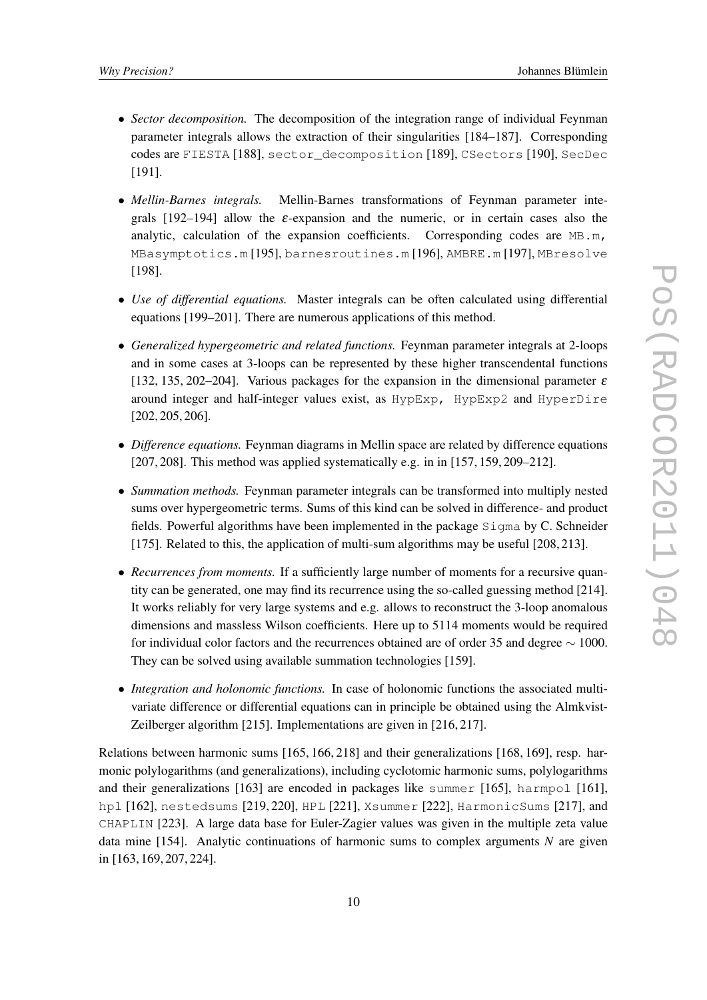- *Sector decomposition*. The decomposition of the integration range of individual Feynman parameter integrals allows the extraction of their singularities [184–187]. Corresponding codes are FIESTA [188], sector\_decomposition [189], CSectors [190], SecDec [191].
- *Mellin-Barnes integrals.* Mellin-Barnes transformations of Feynman parameter integrals [192–194] allow the  $\varepsilon$ -expansion and the numeric, or in certain cases also the analytic, calculation of the expansion coefficients. Corresponding codes are  $MB.m$ , MBasymptotics.m [195], barnesroutines.m [196], AMBRE.m [197], MBresolve [198].
- *Use of differential equations.* Master integrals can be often calculated using differential equations [199–201]. There are numerous applications of this method.
- *Generalized hypergeometric and related functions.* Feynman parameter integrals at 2-loops and in some cases at 3-loops can be represented by these higher transcendental functions [132, 135, 202–204]. Various packages for the expansion in the dimensional parameter  $\varepsilon$ around integer and half-integer values exist, as HypExp, HypExp2 and HyperDire [202, 205, 206].
- *Difference equations.* Feynman diagrams in Mellin space are related by difference equations [207, 208]. This method was applied systematically e.g. in in [157, 159, 209–212].
- *Summation methods.* Feynman parameter integrals can be transformed into multiply nested sums over hypergeometric terms. Sums of this kind can be solved in difference- and product fields. Powerful algorithms have been implemented in the package Sigma by C. Schneider [175]. Related to this, the application of multi-sum algorithms may be useful [208, 213].
- *Recurrences from moments*. If a sufficiently large number of moments for a recursive quantity can be generated, one may find its recurrence using the so-called guessing method [214]. It works reliably for very large systems and e.g. allows to reconstruct the 3-loop anomalous dimensions and massless Wilson coefficients. Here up to 5114 moments would be required for individual color factors and the recurrences obtained are of order 35 and degree ∼ 1000. They can be solved using available summation technologies [159].
- *Integration and holonomic functions.* In case of holonomic functions the associated multivariate difference or differential equations can in principle be obtained using the Almkvist-Zeilberger algorithm [215]. Implementations are given in [216, 217].

Relations between harmonic sums [165, 166, 218] and their generalizations [168, 169], resp. harmonic polylogarithms (and generalizations), including cyclotomic harmonic sums, polylogarithms and their generalizations [163] are encoded in packages like summer [165], harmpol [161], hpl [162], nestedsums [219, 220], HPL [221], Xsummer [222], HarmonicSums [217], and CHAPLIN [223]. A large data base for Euler-Zagier values was given in the multiple zeta value data mine [154]. Analytic continuations of harmonic sums to complex arguments *N* are given in [163, 169, 207, 224].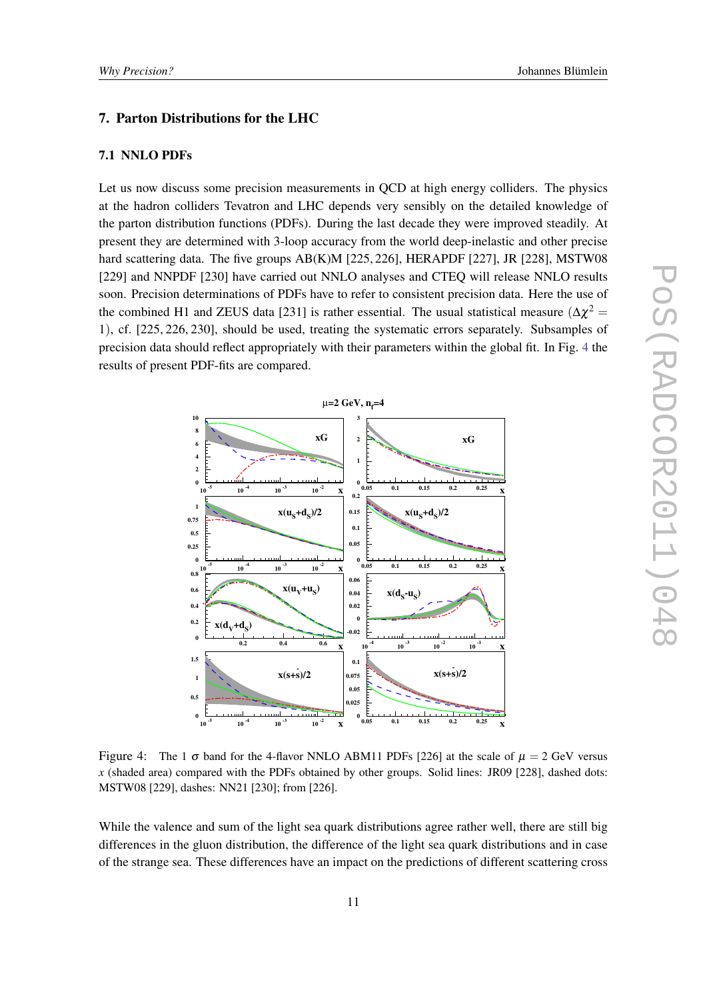### 7. Parton Distributions for the LHC

#### 7.1 NNLO PDFs

Let us now discuss some precision measurements in QCD at high energy colliders. The physics at the hadron colliders Tevatron and LHC depends very sensibly on the detailed knowledge of the parton distribution functions (PDFs). During the last decade they were improved steadily. At present they are determined with 3-loop accuracy from the world deep-inelastic and other precise hard scattering data. The five groups AB(K)M [225, 226], HERAPDF [227], JR [228], MSTW08 [229] and NNPDF [230] have carried out NNLO analyses and CTEQ will release NNLO results soon. Precision determinations of PDFs have to refer to consistent precision data. Here the use of the combined H1 and ZEUS data [231] is rather essential. The usual statistical measure  $(\Delta \chi^2 =$ 1), cf. [225, 226, 230], should be used, treating the systematic errors separately. Subsamples of precision data should reflect appropriately with their parameters within the global fit. In Fig. 4 the results of present PDF-fits are compared.



Figure 4: The 1  $\sigma$  band for the 4-flavor NNLO ABM11 PDFs [226] at the scale of  $\mu = 2$  GeV versus *x* (shaded area) compared with the PDFs obtained by other groups. Solid lines: JR09 [228], dashed dots: MSTW08 [229], dashes: NN21 [230]; from [226].

While the valence and sum of the light sea quark distributions agree rather well, there are still big differences in the gluon distribution, the difference of the light sea quark distributions and in case of the strange sea. These differences have an impact on the predictions of different scattering cross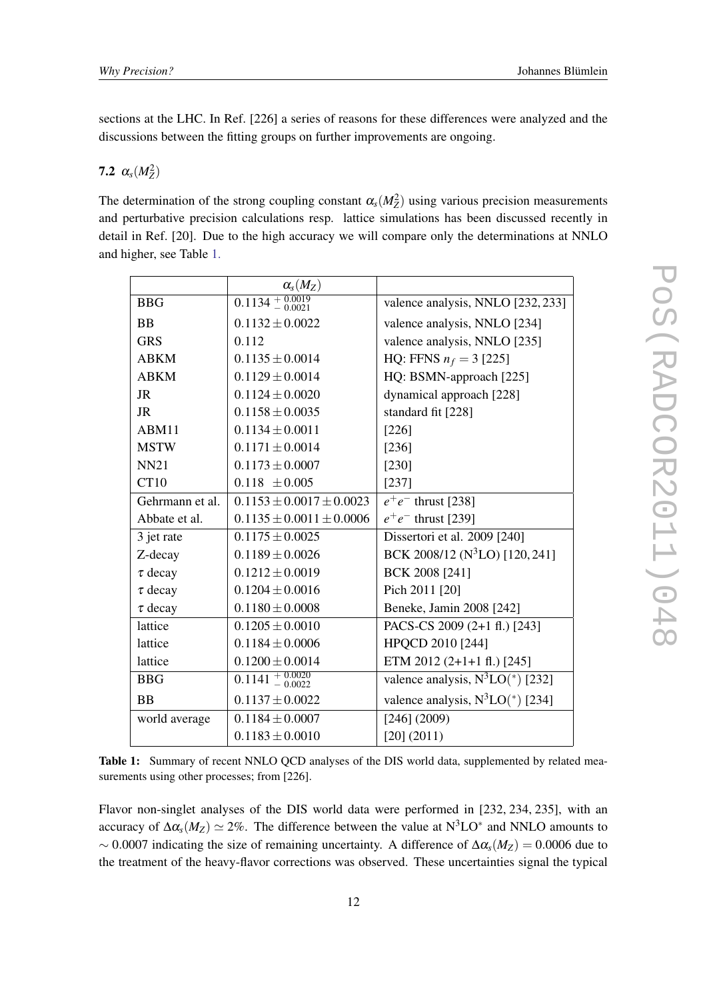sections at the LHC. In Ref. [226] a series of reasons for these differences were analyzed and the discussions between the fitting groups on further improvements are ongoing.

# **7.2**  $\alpha_s(M_Z^2)$

The determination of the strong coupling constant  $\alpha_s(M_Z^2)$  using various precision measurements and perturbative precision calculations resp. lattice simulations has been discussed recently in detail in Ref. [20]. Due to the high accuracy we will compare only the determinations at NNLO and higher, see Table 1.

|                 | $\alpha_{s}(M_{Z})$             |                                                |
|-----------------|---------------------------------|------------------------------------------------|
| <b>BBG</b>      | $\overline{0.1134 + 0.0019}$    | valence analysis, NNLO [232, 233]              |
| <b>BB</b>       | $0.1132 \pm 0.0022$             | valence analysis, NNLO [234]                   |
| <b>GRS</b>      | 0.112                           | valence analysis, NNLO [235]                   |
| <b>ABKM</b>     | $0.1135 \pm 0.0014$             | HQ: FFNS $n_f = 3$ [225]                       |
| <b>ABKM</b>     | $0.1129 \pm 0.0014$             | HQ: BSMN-approach [225]                        |
| <b>JR</b>       | $0.1124 \pm 0.0020$             | dynamical approach [228]                       |
| JR              | $0.1158 \pm 0.0035$             | standard fit [228]                             |
| ABM11           | $0.1134 \pm 0.0011$             | [226]                                          |
| <b>MSTW</b>     | $0.1171 \pm 0.0014$             | [236]                                          |
| <b>NN21</b>     | $0.1173 \pm 0.0007$             | [230]                                          |
| CT10            | $0.118 \pm 0.005$               | $[237]$                                        |
| Gehrmann et al. | $0.1153 \pm 0.0017 \pm 0.0023$  | $e^+e^-$ thrust [238]                          |
| Abbate et al.   | $0.1135 \pm 0.0011 \pm 0.0006$  | $e^+e^-$ thrust [239]                          |
| 3 jet rate      | $0.1175 \pm 0.0025$             | Dissertori et al. 2009 [240]                   |
| Z-decay         | $0.1189 \pm 0.0026$             | BCK 2008/12 (N <sup>3</sup> LO) [120, 241]     |
| $\tau$ decay    | $0.1212 \pm 0.0019$             | BCK 2008 [241]                                 |
| $\tau$ decay    | $0.1204 \pm 0.0016$             | Pich 2011 [20]                                 |
| $\tau$ decay    | $0.1180 \pm 0.0008$             | Beneke, Jamin 2008 [242]                       |
| lattice         | $0.1205 \pm 0.0010$             | PACS-CS 2009 (2+1 fl.) [243]                   |
| lattice         | $0.1184 \pm 0.0006$             | HPQCD 2010 [244]                               |
| lattice         | $0.1200 \pm 0.0014$             | ETM 2012 (2+1+1 fl.) [245]                     |
| <b>BBG</b>      | $0.1141 + 0.0020$<br>$- 0.0022$ | valence analysis, $N^3LO^*$ [232]              |
| <b>BB</b>       | $0.1137 \pm 0.0022$             | valence analysis, $N^3LO$ <sup>*</sup> ) [234] |
| world average   | $0.1184 \pm 0.0007$             | [246] (2009)                                   |
|                 | $0.1183 \pm 0.0010$             | [20] (2011)                                    |

Table 1: Summary of recent NNLO QCD analyses of the DIS world data, supplemented by related measurements using other processes; from [226].

Flavor non-singlet analyses of the DIS world data were performed in [232, 234, 235], with an accuracy of  $\Delta \alpha_s(M_Z) \simeq 2\%$ . The difference between the value at  $N^3LO^*$  and NNLO amounts to  $\sim 0.0007$  indicating the size of remaining uncertainty. A difference of  $\Delta \alpha_s(M_Z) = 0.0006$  due to the treatment of the heavy-flavor corrections was observed. These uncertainties signal the typical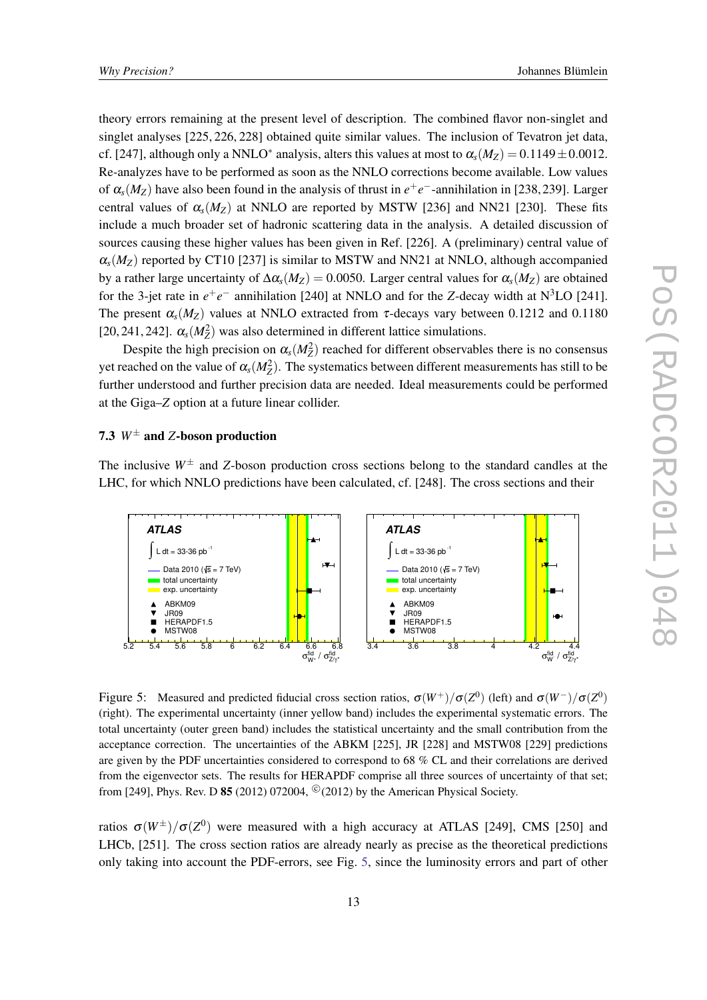theory errors remaining at the present level of description. The combined flavor non-singlet and singlet analyses [225, 226, 228] obtained quite similar values. The inclusion of Tevatron jet data, cf. [247], although only a NNLO<sup>∗</sup> analysis, alters this values at most to  $\alpha_s(M_Z) = 0.1149 \pm 0.0012$ . Re-analyzes have to be performed as soon as the NNLO corrections become available. Low values of  $\alpha_s(M_Z)$  have also been found in the analysis of thrust in  $e^+e^-$ -annihilation in [238, 239]. Larger central values of  $\alpha_s(M_Z)$  at NNLO are reported by MSTW [236] and NN21 [230]. These fits include a much broader set of hadronic scattering data in the analysis. A detailed discussion of sources causing these higher values has been given in Ref. [226]. A (preliminary) central value of  $\alpha_s(M_Z)$  reported by CT10 [237] is similar to MSTW and NN21 at NNLO, although accompanied by a rather large uncertainty of ∆α*s*(*MZ*) = 0.0050. Larger central values for α*s*(*MZ*) are obtained for the 3-jet rate in  $e^+e^-$  annihilation [240] at NNLO and for the *Z*-decay width at  $N^3LO$  [241]. The present  $\alpha_s(M_Z)$  values at NNLO extracted from  $\tau$ -decays vary between 0.1212 and 0.1180 [20, 241, 242].  $\alpha_s(M_Z^2)$  was also determined in different lattice simulations.

Despite the high precision on  $\alpha_s(M_Z^2)$  reached for different observables there is no consensus yet reached on the value of  $\alpha_s(M_Z^2)$ . The systematics between different measurements has still to be further understood and further precision data are needed. Ideal measurements could be performed at the Giga–*Z* option at a future linear collider.

## 7.3 *W*<sup>±</sup> and *Z*-boson production

The inclusive  $W^{\pm}$  and *Z*-boson production cross sections belong to the standard candles at the LHC, for which NNLO predictions have been calculated, cf. [248]. The cross sections and their



Figure 5: Measured and predicted fiducial cross section ratios,  $\sigma(W^+)/\sigma(Z^0)$  (left) and  $\sigma(W^-)/\sigma(Z^0)$ (right). The experimental uncertainty (inner yellow band) includes the experimental systematic errors. The total uncertainty (outer green band) includes the statistical uncertainty and the small contribution from the acceptance correction. The uncertainties of the ABKM [225], JR [228] and MSTW08 [229] predictions are given by the PDF uncertainties considered to correspond to 68 % CL and their correlations are derived from the eigenvector sets. The results for HERAPDF comprise all three sources of uncertainty of that set; from [249], Phys. Rev. D 85 (2012) 072004,  $^{\circ}$  (2012) by the American Physical Society.

ratios  $\sigma(W^{\pm})/\sigma(Z^0)$  were measured with a high accuracy at ATLAS [249], CMS [250] and LHCb, [251]. The cross section ratios are already nearly as precise as the theoretical predictions only taking into account the PDF-errors, see Fig. 5, since the luminosity errors and part of other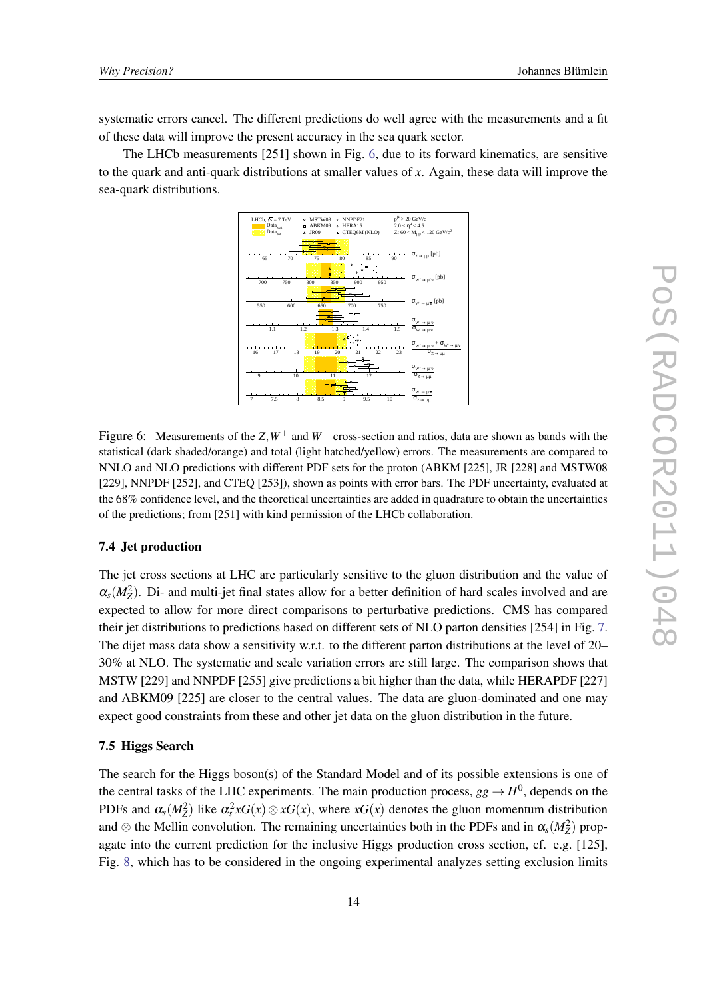systematic errors cancel. The different predictions do well agree with the measurements and a fit of these data will improve the present accuracy in the sea quark sector.

The LHCb measurements [251] shown in Fig. 6, due to its forward kinematics, are sensitive to the quark and anti-quark distributions at smaller values of *x*. Again, these data will improve the sea-quark distributions.



Figure 6: Measurements of the *Z*,*W*<sup>+</sup> and *W*<sup>−</sup> cross-section and ratios, data are shown as bands with the statistical (dark shaded/orange) and total (light hatched/yellow) errors. The measurements are compared to NNLO and NLO predictions with different PDF sets for the proton (ABKM [225], JR [228] and MSTW08 [229], NNPDF [252], and CTEQ [253]), shown as points with error bars. The PDF uncertainty, evaluated at the 68% confidence level, and the theoretical uncertainties are added in quadrature to obtain the uncertainties of the predictions; from [251] with kind permission of the LHCb collaboration.

#### 7.4 Jet production

The jet cross sections at LHC are particularly sensitive to the gluon distribution and the value of  $\alpha_s(M_Z^2)$ . Di- and multi-jet final states allow for a better definition of hard scales involved and are expected to allow for more direct comparisons to perturbative predictions. CMS has compared their jet distributions to predictions based on different sets of NLO parton densities [254] in Fig. [7](#page-14-0). The dijet mass data show a sensitivity w.r.t. to the different parton distributions at the level of 20– 30% at NLO. The systematic and scale variation errors are still large. The comparison shows that MSTW [229] and NNPDF [255] give predictions a bit higher than the data, while HERAPDF [227] and ABKM09 [225] are closer to the central values. The data are gluon-dominated and one may expect good constraints from these and other jet data on the gluon distribution in the future.

#### 7.5 Higgs Search

The search for the Higgs boson(s) of the Standard Model and of its possible extensions is one of the central tasks of the LHC experiments. The main production process,  $gg \to H^0$ , depends on the PDFs and  $\alpha_s(M_Z^2)$  like  $\alpha_s^2 xG(x) \otimes xG(x)$ , where  $xG(x)$  denotes the gluon momentum distribution and  $\otimes$  the Mellin convolution. The remaining uncertainties both in the PDFs and in  $\alpha_s(M_Z^2)$  propagate into the current prediction for the inclusive Higgs production cross section, cf. e.g. [125], Fig. [8,](#page-14-0) which has to be considered in the ongoing experimental analyzes setting exclusion limits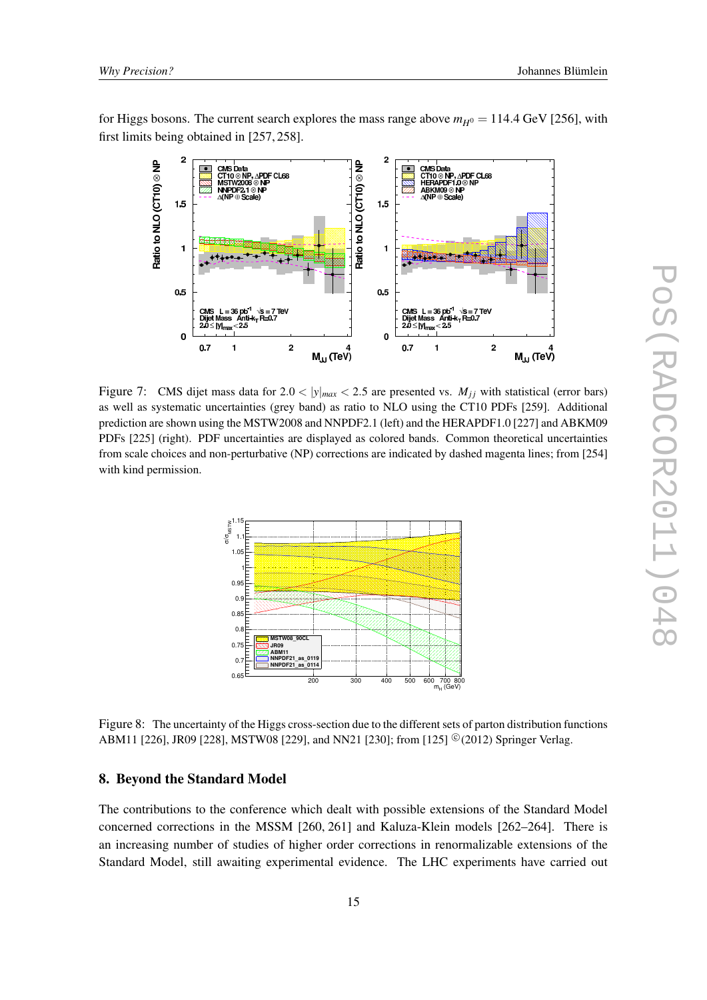<span id="page-14-0"></span>for Higgs bosons. The current search explores the mass range above  $m_{H^0} = 114.4$  GeV [256], with first limits being obtained in [257, 258].



Figure 7: CMS dijet mass data for  $2.0 < |y|_{max} < 2.5$  are presented vs.  $M_{ij}$  with statistical (error bars) as well as systematic uncertainties (grey band) as ratio to NLO using the CT10 PDFs [259]. Additional prediction are shown using the MSTW2008 and NNPDF2.1 (left) and the HERAPDF1.0 [227] and ABKM09 PDFs [225] (right). PDF uncertainties are displayed as colored bands. Common theoretical uncertainties from scale choices and non-perturbative (NP) corrections are indicated by dashed magenta lines; from [254] with kind permission.



Figure 8: The uncertainty of the Higgs cross-section due to the different sets of parton distribution functions ABM11 [226], JR09 [228], MSTW08 [229], and NN21 [230]; from [125] <sup>©</sup> (2012) Springer Verlag.

#### 8. Beyond the Standard Model

The contributions to the conference which dealt with possible extensions of the Standard Model concerned corrections in the MSSM [260, 261] and Kaluza-Klein models [262–264]. There is an increasing number of studies of higher order corrections in renormalizable extensions of the Standard Model, still awaiting experimental evidence. The LHC experiments have carried out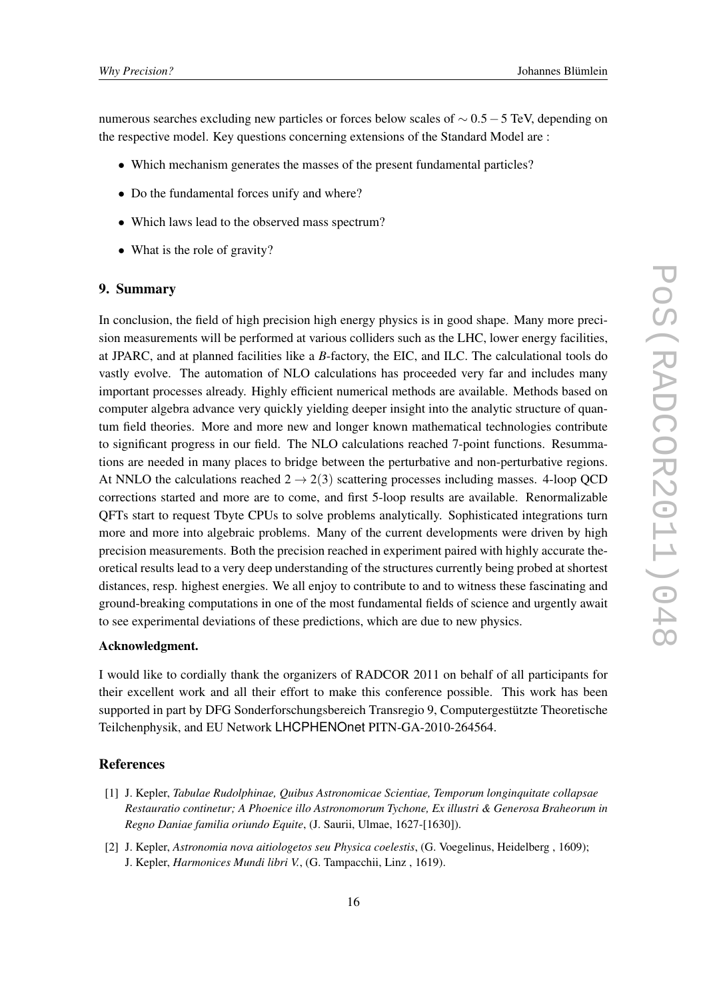numerous searches excluding new particles or forces below scales of  $\sim 0.5 - 5$  TeV, depending on the respective model. Key questions concerning extensions of the Standard Model are :

- Which mechanism generates the masses of the present fundamental particles?
- Do the fundamental forces unify and where?
- Which laws lead to the observed mass spectrum?
- What is the role of gravity?

#### 9. Summary

In conclusion, the field of high precision high energy physics is in good shape. Many more precision measurements will be performed at various colliders such as the LHC, lower energy facilities, at JPARC, and at planned facilities like a *B*-factory, the EIC, and ILC. The calculational tools do vastly evolve. The automation of NLO calculations has proceeded very far and includes many important processes already. Highly efficient numerical methods are available. Methods based on computer algebra advance very quickly yielding deeper insight into the analytic structure of quantum field theories. More and more new and longer known mathematical technologies contribute to significant progress in our field. The NLO calculations reached 7-point functions. Resummations are needed in many places to bridge between the perturbative and non-perturbative regions. At NNLO the calculations reached  $2 \rightarrow 2(3)$  scattering processes including masses. 4-loop QCD corrections started and more are to come, and first 5-loop results are available. Renormalizable QFTs start to request Tbyte CPUs to solve problems analytically. Sophisticated integrations turn more and more into algebraic problems. Many of the current developments were driven by high precision measurements. Both the precision reached in experiment paired with highly accurate theoretical results lead to a very deep understanding of the structures currently being probed at shortest distances, resp. highest energies. We all enjoy to contribute to and to witness these fascinating and ground-breaking computations in one of the most fundamental fields of science and urgently await to see experimental deviations of these predictions, which are due to new physics.

#### Acknowledgment.

I would like to cordially thank the organizers of RADCOR 2011 on behalf of all participants for their excellent work and all their effort to make this conference possible. This work has been supported in part by DFG Sonderforschungsbereich Transregio 9, Computergestützte Theoretische Teilchenphysik, and EU Network LHCPHENOnet PITN-GA-2010-264564.

#### **References**

- [1] J. Kepler, *Tabulae Rudolphinae, Quibus Astronomicae Scientiae, Temporum longinquitate collapsae Restauratio continetur; A Phoenice illo Astronomorum Tychone, Ex illustri & Generosa Braheorum in Regno Daniae familia oriundo Equite*, (J. Saurii, Ulmae, 1627-[1630]).
- [2] J. Kepler, *Astronomia nova aitiologetos seu Physica coelestis*, (G. Voegelinus, Heidelberg , 1609); J. Kepler, *Harmonices Mundi libri V.*, (G. Tampacchii, Linz , 1619).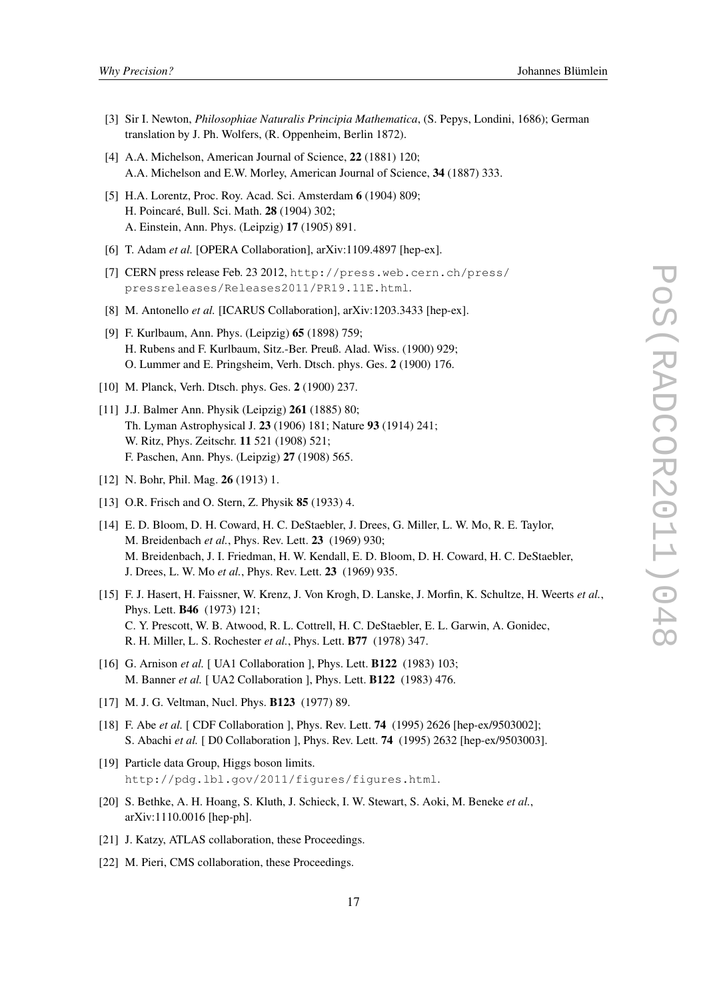- [3] Sir I. Newton, *Philosophiae Naturalis Principia Mathematica*, (S. Pepys, Londini, 1686); German translation by J. Ph. Wolfers, (R. Oppenheim, Berlin 1872).
- [4] A.A. Michelson, American Journal of Science, 22 (1881) 120; A.A. Michelson and E.W. Morley, American Journal of Science, 34 (1887) 333.
- [5] H.A. Lorentz, Proc. Roy. Acad. Sci. Amsterdam 6 (1904) 809; H. Poincaré, Bull. Sci. Math. 28 (1904) 302; A. Einstein, Ann. Phys. (Leipzig) 17 (1905) 891.
- [6] T. Adam et al. [OPERA Collaboration], arXiv:1109.4897 [hep-ex].
- [7] CERN press release Feb. 23 2012, http://press.web.cern.ch/press/ pressreleases/Releases2011/PR19.11E.html.
- [8] M. Antonello *et al.* [ICARUS Collaboration], arXiv:1203.3433 [hep-ex].
- [9] F. Kurlbaum, Ann. Phys. (Leipzig) 65 (1898) 759; H. Rubens and F. Kurlbaum, Sitz.-Ber. Preuß. Alad. Wiss. (1900) 929; O. Lummer and E. Pringsheim, Verh. Dtsch. phys. Ges. 2 (1900) 176.
- [10] M. Planck, Verh. Dtsch. phys. Ges. 2 (1900) 237.
- [11] J.J. Balmer Ann. Physik (Leipzig) 261 (1885) 80; Th. Lyman Astrophysical J. 23 (1906) 181; Nature 93 (1914) 241; W. Ritz, Phys. Zeitschr. 11 521 (1908) 521; F. Paschen, Ann. Phys. (Leipzig) 27 (1908) 565.
- [12] N. Bohr, Phil. Mag. **26** (1913) 1.
- [13] O.R. Frisch and O. Stern, Z. Physik 85 (1933) 4.
- [14] E. D. Bloom, D. H. Coward, H. C. DeStaebler, J. Drees, G. Miller, L. W. Mo, R. E. Taylor, M. Breidenbach *et al.*, Phys. Rev. Lett. 23 (1969) 930; M. Breidenbach, J. I. Friedman, H. W. Kendall, E. D. Bloom, D. H. Coward, H. C. DeStaebler, J. Drees, L. W. Mo *et al.*, Phys. Rev. Lett. 23 (1969) 935.
- [15] F. J. Hasert, H. Faissner, W. Krenz, J. Von Krogh, D. Lanske, J. Morfin, K. Schultze, H. Weerts *et al.*, Phys. Lett. B46 (1973) 121; C. Y. Prescott, W. B. Atwood, R. L. Cottrell, H. C. DeStaebler, E. L. Garwin, A. Gonidec, R. H. Miller, L. S. Rochester *et al.*, Phys. Lett. B77 (1978) 347.
- [16] G. Arnison *et al.* [ UA1 Collaboration ], Phys. Lett. **B122** (1983) 103; M. Banner *et al.* [ UA2 Collaboration ], Phys. Lett. B122 (1983) 476.
- [17] M. J. G. Veltman, Nucl. Phys. **B123** (1977) 89.
- [18] F. Abe *et al.* [ CDF Collaboration ], Phys. Rev. Lett. 74 (1995) 2626 [hep-ex/9503002]; S. Abachi *et al.* [ D0 Collaboration ], Phys. Rev. Lett. 74 (1995) 2632 [hep-ex/9503003].
- [19] Particle data Group, Higgs boson limits. http://pdg.lbl.gov/2011/figures/figures.html.
- [20] S. Bethke, A. H. Hoang, S. Kluth, J. Schieck, I. W. Stewart, S. Aoki, M. Beneke *et al.*, arXiv:1110.0016 [hep-ph].
- [21] J. Katzy, ATLAS collaboration, these Proceedings.
- [22] M. Pieri, CMS collaboration, these Proceedings.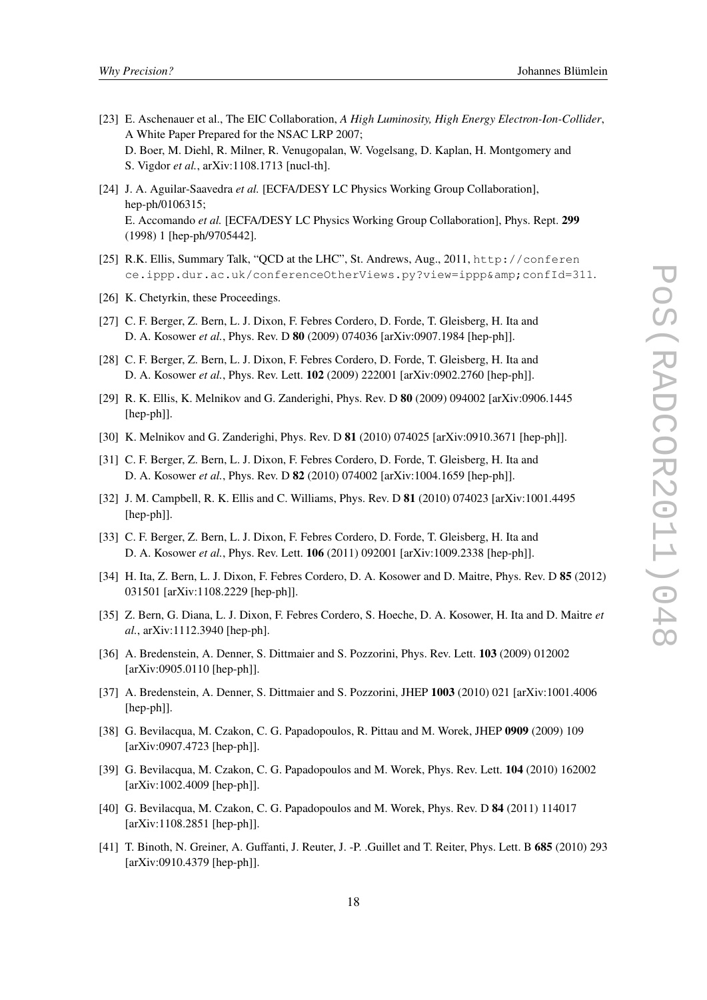- [23] E. Aschenauer et al., The EIC Collaboration, *A High Luminosity, High Energy Electron-Ion-Collider*, A White Paper Prepared for the NSAC LRP 2007; D. Boer, M. Diehl, R. Milner, R. Venugopalan, W. Vogelsang, D. Kaplan, H. Montgomery and S. Vigdor *et al.*, arXiv:1108.1713 [nucl-th].
- [24] J. A. Aguilar-Saavedra *et al.* [ECFA/DESY LC Physics Working Group Collaboration], hep-ph/0106315; E. Accomando *et al.* [ECFA/DESY LC Physics Working Group Collaboration], Phys. Rept. 299 (1998) 1 [hep-ph/9705442].
- [25] R.K. Ellis, Summary Talk, "QCD at the LHC", St. Andrews, Aug., 2011, http://conferen ce.ippp.dur.ac.uk/conferenceOtherViews.py?view=ippp&confId=311.
- [26] K. Chetyrkin, these Proceedings.
- [27] C. F. Berger, Z. Bern, L. J. Dixon, F. Febres Cordero, D. Forde, T. Gleisberg, H. Ita and D. A. Kosower *et al.*, Phys. Rev. D 80 (2009) 074036 [arXiv:0907.1984 [hep-ph]].
- [28] C. F. Berger, Z. Bern, L. J. Dixon, F. Febres Cordero, D. Forde, T. Gleisberg, H. Ita and D. A. Kosower *et al.*, Phys. Rev. Lett. 102 (2009) 222001 [arXiv:0902.2760 [hep-ph]].
- [29] R. K. Ellis, K. Melnikov and G. Zanderighi, Phys. Rev. D 80 (2009) 094002 [arXiv:0906.1445 [hep-ph]].
- [30] K. Melnikov and G. Zanderighi, Phys. Rev. D **81** (2010) 074025 [arXiv:0910.3671 [hep-ph]].
- [31] C. F. Berger, Z. Bern, L. J. Dixon, F. Febres Cordero, D. Forde, T. Gleisberg, H. Ita and D. A. Kosower *et al.*, Phys. Rev. D 82 (2010) 074002 [arXiv:1004.1659 [hep-ph]].
- [32] J. M. Campbell, R. K. Ellis and C. Williams, Phys. Rev. D 81 (2010) 074023 [arXiv:1001.4495 [hep-ph]].
- [33] C. F. Berger, Z. Bern, L. J. Dixon, F. Febres Cordero, D. Forde, T. Gleisberg, H. Ita and D. A. Kosower *et al.*, Phys. Rev. Lett. 106 (2011) 092001 [arXiv:1009.2338 [hep-ph]].
- [34] H. Ita, Z. Bern, L. J. Dixon, F. Febres Cordero, D. A. Kosower and D. Maitre, Phys. Rev. D 85 (2012) 031501 [arXiv:1108.2229 [hep-ph]].
- [35] Z. Bern, G. Diana, L. J. Dixon, F. Febres Cordero, S. Hoeche, D. A. Kosower, H. Ita and D. Maitre *et al.*, arXiv:1112.3940 [hep-ph].
- [36] A. Bredenstein, A. Denner, S. Dittmaier and S. Pozzorini, Phys. Rev. Lett. 103 (2009) 012002 [arXiv:0905.0110 [hep-ph]].
- [37] A. Bredenstein, A. Denner, S. Dittmaier and S. Pozzorini, JHEP 1003 (2010) 021 [arXiv:1001.4006 [hep-ph]].
- [38] G. Bevilacqua, M. Czakon, C. G. Papadopoulos, R. Pittau and M. Worek, JHEP 0909 (2009) 109 [arXiv:0907.4723 [hep-ph]].
- [39] G. Bevilacqua, M. Czakon, C. G. Papadopoulos and M. Worek, Phys. Rev. Lett. 104 (2010) 162002 [arXiv:1002.4009 [hep-ph]].
- [40] G. Bevilacqua, M. Czakon, C. G. Papadopoulos and M. Worek, Phys. Rev. D 84 (2011) 114017 [arXiv:1108.2851 [hep-ph]].
- [41] T. Binoth, N. Greiner, A. Guffanti, J. Reuter, J. -P. .Guillet and T. Reiter, Phys. Lett. B 685 (2010) 293 [arXiv:0910.4379 [hep-ph]].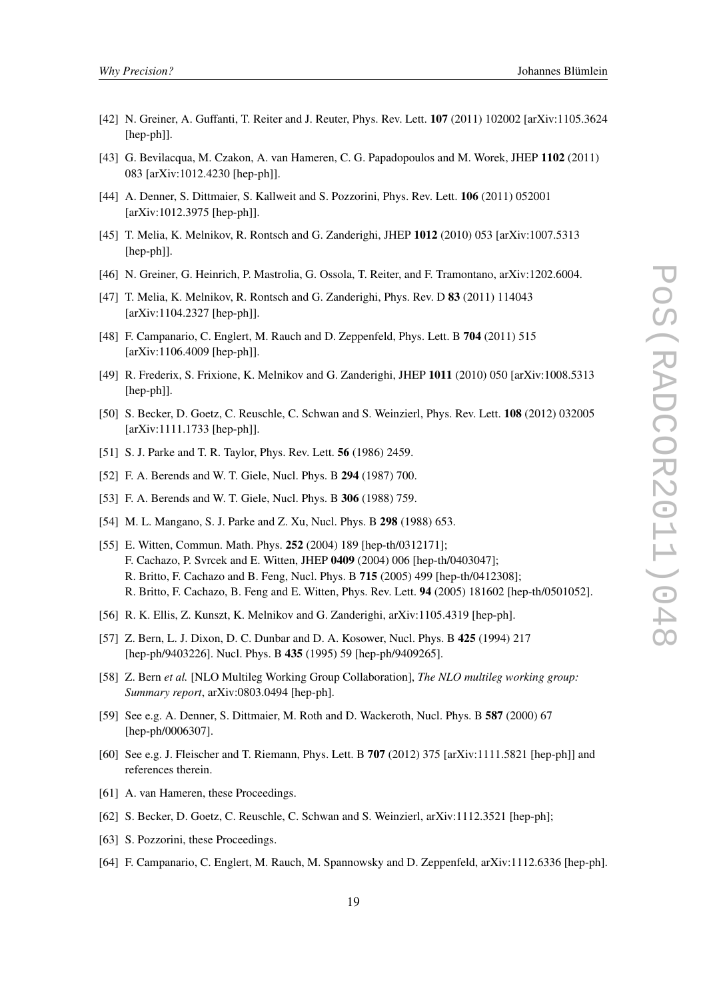- [42] N. Greiner, A. Guffanti, T. Reiter and J. Reuter, Phys. Rev. Lett. 107 (2011) 102002 [arXiv:1105.3624 [hep-ph]].
- [43] G. Bevilacqua, M. Czakon, A. van Hameren, C. G. Papadopoulos and M. Worek, JHEP 1102 (2011) 083 [arXiv:1012.4230 [hep-ph]].
- [44] A. Denner, S. Dittmaier, S. Kallweit and S. Pozzorini, Phys. Rev. Lett. 106 (2011) 052001 [arXiv:1012.3975 [hep-ph]].
- [45] T. Melia, K. Melnikov, R. Rontsch and G. Zanderighi, JHEP 1012 (2010) 053 [arXiv:1007.5313 [hep-ph]].
- [46] N. Greiner, G. Heinrich, P. Mastrolia, G. Ossola, T. Reiter, and F. Tramontano, arXiv:1202.6004.
- [47] T. Melia, K. Melnikov, R. Rontsch and G. Zanderighi, Phys. Rev. D 83 (2011) 114043 [arXiv:1104.2327 [hep-ph]].
- [48] F. Campanario, C. Englert, M. Rauch and D. Zeppenfeld, Phys. Lett. B 704 (2011) 515 [arXiv:1106.4009 [hep-ph]].
- [49] R. Frederix, S. Frixione, K. Melnikov and G. Zanderighi, JHEP 1011 (2010) 050 [arXiv:1008.5313 [hep-ph]].
- [50] S. Becker, D. Goetz, C. Reuschle, C. Schwan and S. Weinzierl, Phys. Rev. Lett. 108 (2012) 032005 [arXiv:1111.1733 [hep-ph]].
- [51] S. J. Parke and T. R. Taylor, Phys. Rev. Lett. 56 (1986) 2459.
- [52] F. A. Berends and W. T. Giele, Nucl. Phys. B 294 (1987) 700.
- [53] F. A. Berends and W. T. Giele, Nucl. Phys. B 306 (1988) 759.
- [54] M. L. Mangano, S. J. Parke and Z. Xu, Nucl. Phys. B 298 (1988) 653.
- [55] E. Witten, Commun. Math. Phys. 252 (2004) 189 [hep-th/0312171]; F. Cachazo, P. Svrcek and E. Witten, JHEP 0409 (2004) 006 [hep-th/0403047]; R. Britto, F. Cachazo and B. Feng, Nucl. Phys. B 715 (2005) 499 [hep-th/0412308]; R. Britto, F. Cachazo, B. Feng and E. Witten, Phys. Rev. Lett. 94 (2005) 181602 [hep-th/0501052].
- [56] R. K. Ellis, Z. Kunszt, K. Melnikov and G. Zanderighi, arXiv:1105.4319 [hep-ph].
- [57] Z. Bern, L. J. Dixon, D. C. Dunbar and D. A. Kosower, Nucl. Phys. B 425 (1994) 217 [hep-ph/9403226]. Nucl. Phys. B 435 (1995) 59 [hep-ph/9409265].
- [58] Z. Bern *et al.* [NLO Multileg Working Group Collaboration], *The NLO multileg working group: Summary report*, arXiv:0803.0494 [hep-ph].
- [59] See e.g. A. Denner, S. Dittmaier, M. Roth and D. Wackeroth, Nucl. Phys. B 587 (2000) 67 [hep-ph/0006307].
- [60] See e.g. J. Fleischer and T. Riemann, Phys. Lett. B 707 (2012) 375 [arXiv:1111.5821 [hep-ph]] and references therein.
- [61] A. van Hameren, these Proceedings.
- [62] S. Becker, D. Goetz, C. Reuschle, C. Schwan and S. Weinzierl, arXiv:1112.3521 [hep-ph];
- [63] S. Pozzorini, these Proceedings.
- [64] F. Campanario, C. Englert, M. Rauch, M. Spannowsky and D. Zeppenfeld, arXiv:1112.6336 [hep-ph].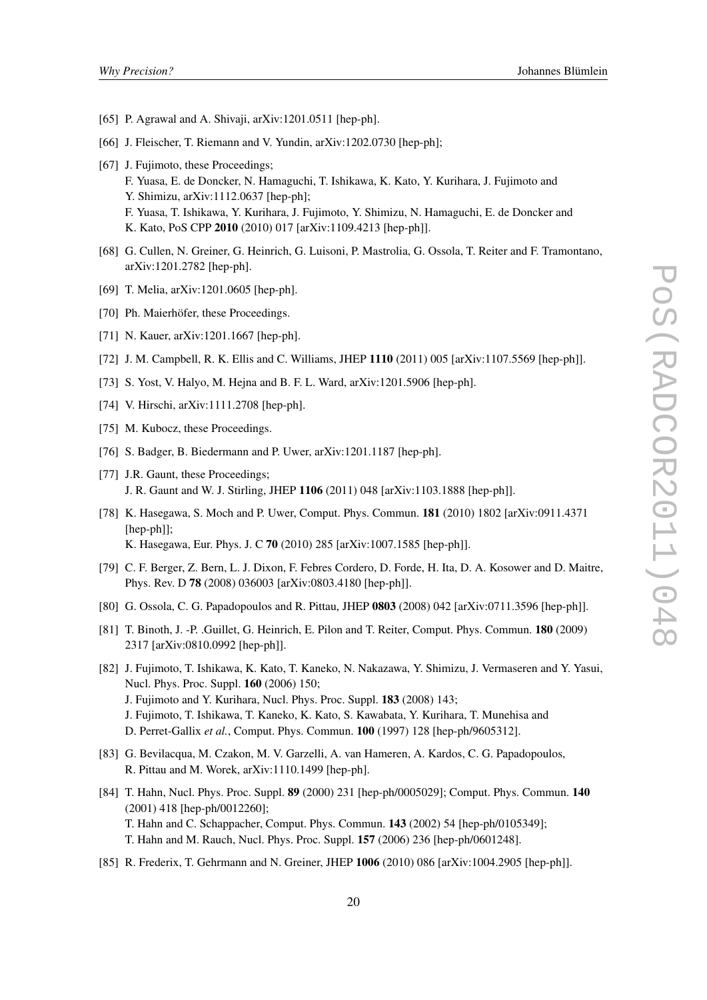- [65] P. Agrawal and A. Shivaji, arXiv:1201.0511 [hep-ph].
- [66] J. Fleischer, T. Riemann and V. Yundin, arXiv:1202.0730 [hep-ph];
- [67] J. Fujimoto, these Proceedings;
	- F. Yuasa, E. de Doncker, N. Hamaguchi, T. Ishikawa, K. Kato, Y. Kurihara, J. Fujimoto and Y. Shimizu, arXiv:1112.0637 [hep-ph];
	- F. Yuasa, T. Ishikawa, Y. Kurihara, J. Fujimoto, Y. Shimizu, N. Hamaguchi, E. de Doncker and K. Kato, PoS CPP 2010 (2010) 017 [arXiv:1109.4213 [hep-ph]].
- [68] G. Cullen, N. Greiner, G. Heinrich, G. Luisoni, P. Mastrolia, G. Ossola, T. Reiter and F. Tramontano, arXiv:1201.2782 [hep-ph].
- [69] T. Melia, arXiv:1201.0605 [hep-ph].
- [70] Ph. Maierhöfer, these Proceedings.
- [71] N. Kauer, arXiv:1201.1667 [hep-ph].
- [72] J. M. Campbell, R. K. Ellis and C. Williams, JHEP 1110 (2011) 005 [arXiv:1107.5569 [hep-ph]].
- [73] S. Yost, V. Halyo, M. Hejna and B. F. L. Ward, arXiv:1201.5906 [hep-ph].
- [74] V. Hirschi, arXiv:1111.2708 [hep-ph].
- [75] M. Kubocz, these Proceedings.
- [76] S. Badger, B. Biedermann and P. Uwer, arXiv:1201.1187 [hep-ph].
- [77] J.R. Gaunt, these Proceedings; J. R. Gaunt and W. J. Stirling, JHEP 1106 (2011) 048 [arXiv:1103.1888 [hep-ph]].
- [78] K. Hasegawa, S. Moch and P. Uwer, Comput. Phys. Commun. 181 (2010) 1802 [arXiv:0911.4371 [hep-ph]]; K. Hasegawa, Eur. Phys. J. C 70 (2010) 285 [arXiv:1007.1585 [hep-ph]].
- [79] C. F. Berger, Z. Bern, L. J. Dixon, F. Febres Cordero, D. Forde, H. Ita, D. A. Kosower and D. Maitre, Phys. Rev. D 78 (2008) 036003 [arXiv:0803.4180 [hep-ph]].
- [80] G. Ossola, C. G. Papadopoulos and R. Pittau, JHEP 0803 (2008) 042 [arXiv:0711.3596 [hep-ph]].
- [81] T. Binoth, J. -P. .Guillet, G. Heinrich, E. Pilon and T. Reiter, Comput. Phys. Commun. 180 (2009) 2317 [arXiv:0810.0992 [hep-ph]].
- [82] J. Fujimoto, T. Ishikawa, K. Kato, T. Kaneko, N. Nakazawa, Y. Shimizu, J. Vermaseren and Y. Yasui, Nucl. Phys. Proc. Suppl. 160 (2006) 150; J. Fujimoto and Y. Kurihara, Nucl. Phys. Proc. Suppl. 183 (2008) 143; J. Fujimoto, T. Ishikawa, T. Kaneko, K. Kato, S. Kawabata, Y. Kurihara, T. Munehisa and D. Perret-Gallix *et al.*, Comput. Phys. Commun. 100 (1997) 128 [hep-ph/9605312].
- [83] G. Bevilacqua, M. Czakon, M. V. Garzelli, A. van Hameren, A. Kardos, C. G. Papadopoulos, R. Pittau and M. Worek, arXiv:1110.1499 [hep-ph].
- [84] T. Hahn, Nucl. Phys. Proc. Suppl. 89 (2000) 231 [hep-ph/0005029]; Comput. Phys. Commun. 140 (2001) 418 [hep-ph/0012260]; T. Hahn and C. Schappacher, Comput. Phys. Commun. 143 (2002) 54 [hep-ph/0105349]; T. Hahn and M. Rauch, Nucl. Phys. Proc. Suppl. 157 (2006) 236 [hep-ph/0601248].
- [85] R. Frederix, T. Gehrmann and N. Greiner, JHEP 1006 (2010) 086 [arXiv:1004.2905 [hep-ph]].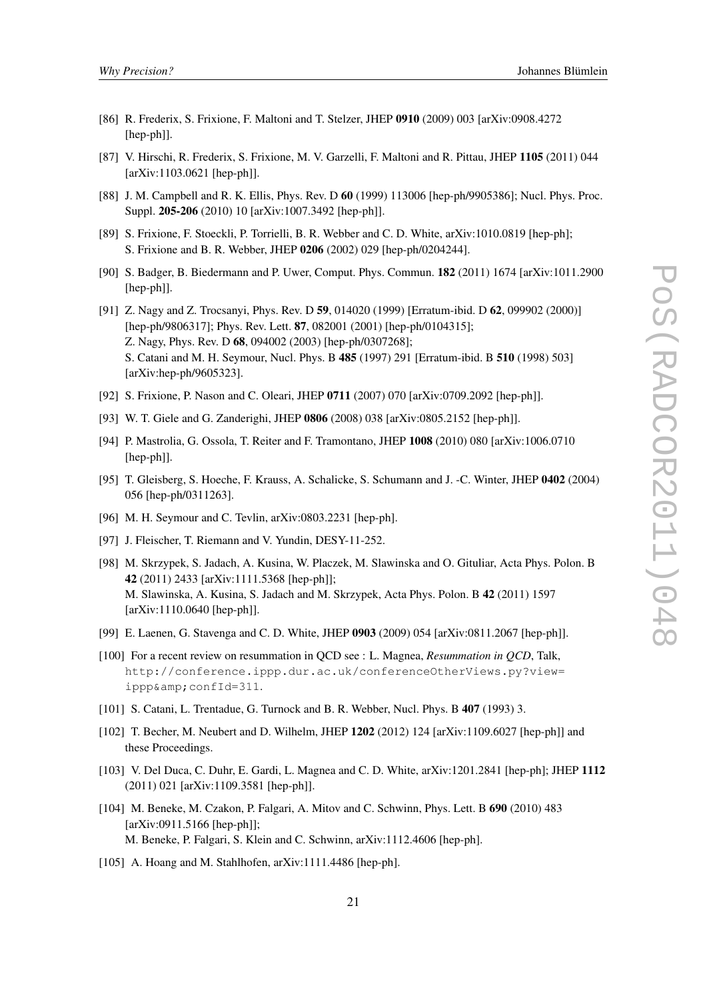- [86] R. Frederix, S. Frixione, F. Maltoni and T. Stelzer, JHEP 0910 (2009) 003 [arXiv:0908.4272 [hep-ph]].
- [87] V. Hirschi, R. Frederix, S. Frixione, M. V. Garzelli, F. Maltoni and R. Pittau, JHEP 1105 (2011) 044 [arXiv:1103.0621 [hep-ph]].
- [88] J. M. Campbell and R. K. Ellis, Phys. Rev. D 60 (1999) 113006 [hep-ph/9905386]; Nucl. Phys. Proc. Suppl. 205-206 (2010) 10 [arXiv:1007.3492 [hep-ph]].
- [89] S. Frixione, F. Stoeckli, P. Torrielli, B. R. Webber and C. D. White, arXiv:1010.0819 [hep-ph]; S. Frixione and B. R. Webber, JHEP 0206 (2002) 029 [hep-ph/0204244].
- [90] S. Badger, B. Biedermann and P. Uwer, Comput. Phys. Commun. 182 (2011) 1674 [arXiv:1011.2900 [hep-ph]].
- [91] Z. Nagy and Z. Trocsanyi, Phys. Rev. D 59, 014020 (1999) [Erratum-ibid. D 62, 099902 (2000)] [hep-ph/9806317]; Phys. Rev. Lett. 87, 082001 (2001) [hep-ph/0104315]; Z. Nagy, Phys. Rev. D 68, 094002 (2003) [hep-ph/0307268]; S. Catani and M. H. Seymour, Nucl. Phys. B 485 (1997) 291 [Erratum-ibid. B 510 (1998) 503] [arXiv:hep-ph/9605323].
- [92] S. Frixione, P. Nason and C. Oleari, JHEP 0711 (2007) 070 [arXiv:0709.2092 [hep-ph]].
- [93] W. T. Giele and G. Zanderighi, JHEP 0806 (2008) 038 [arXiv:0805.2152 [hep-ph]].
- [94] P. Mastrolia, G. Ossola, T. Reiter and F. Tramontano, JHEP 1008 (2010) 080 [arXiv:1006.0710 [hep-ph]].
- [95] T. Gleisberg, S. Hoeche, F. Krauss, A. Schalicke, S. Schumann and J. -C. Winter, JHEP 0402 (2004) 056 [hep-ph/0311263].
- [96] M. H. Seymour and C. Tevlin, arXiv:0803.2231 [hep-ph].
- [97] J. Fleischer, T. Riemann and V. Yundin, DESY-11-252.
- [98] M. Skrzypek, S. Jadach, A. Kusina, W. Placzek, M. Slawinska and O. Gituliar, Acta Phys. Polon. B 42 (2011) 2433 [arXiv:1111.5368 [hep-ph]]; M. Slawinska, A. Kusina, S. Jadach and M. Skrzypek, Acta Phys. Polon. B 42 (2011) 1597 [arXiv:1110.0640 [hep-ph]].
- [99] E. Laenen, G. Stavenga and C. D. White, JHEP 0903 (2009) 054 [arXiv:0811.2067 [hep-ph]].
- [100] For a recent review on resummation in QCD see : L. Magnea, *Resummation in QCD*, Talk, http://conference.ippp.dur.ac.uk/conferenceOtherViews.py?view= ippp& confId=311.
- [101] S. Catani, L. Trentadue, G. Turnock and B. R. Webber, Nucl. Phys. B 407 (1993) 3.
- [102] T. Becher, M. Neubert and D. Wilhelm, JHEP 1202 (2012) 124 [arXiv:1109.6027 [hep-ph]] and these Proceedings.
- [103] V. Del Duca, C. Duhr, E. Gardi, L. Magnea and C. D. White, arXiv:1201.2841 [hep-ph]; JHEP 1112 (2011) 021 [arXiv:1109.3581 [hep-ph]].
- [104] M. Beneke, M. Czakon, P. Falgari, A. Mitov and C. Schwinn, Phys. Lett. B 690 (2010) 483 [arXiv:0911.5166 [hep-ph]]; M. Beneke, P. Falgari, S. Klein and C. Schwinn, arXiv:1112.4606 [hep-ph].
- [105] A. Hoang and M. Stahlhofen, arXiv:1111.4486 [hep-ph].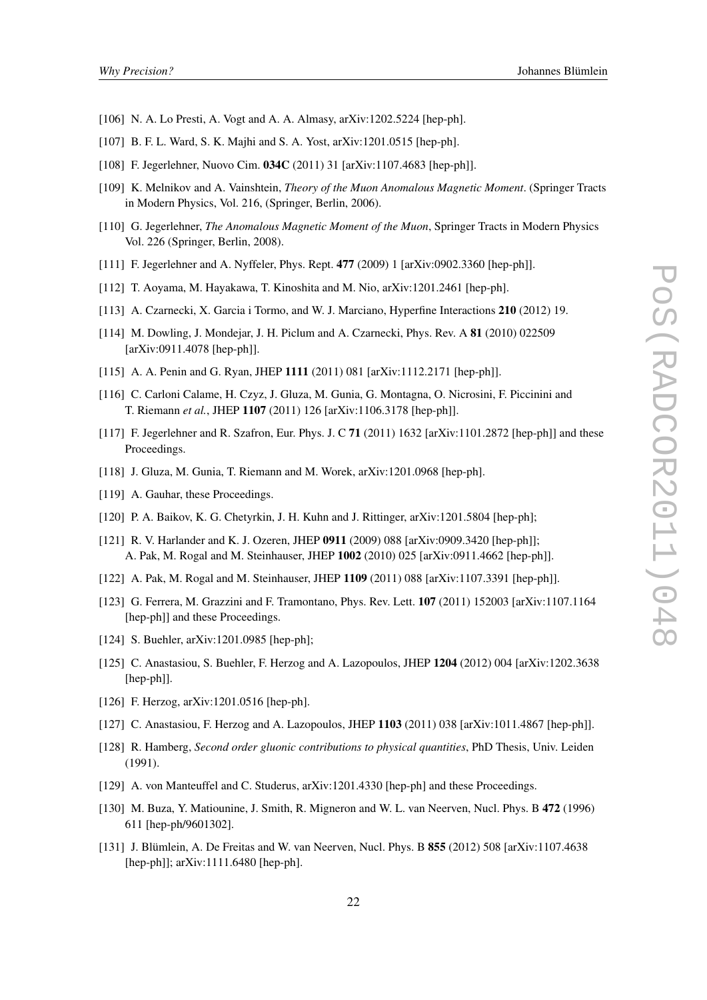- [106] N. A. Lo Presti, A. Vogt and A. A. Almasy, arXiv:1202.5224 [hep-ph].
- [107] B. F. L. Ward, S. K. Majhi and S. A. Yost, arXiv:1201.0515 [hep-ph].
- [108] F. Jegerlehner, Nuovo Cim. 034C (2011) 31 [arXiv:1107.4683 [hep-ph]].
- [109] K. Melnikov and A. Vainshtein, *Theory of the Muon Anomalous Magnetic Moment*. (Springer Tracts in Modern Physics, Vol. 216, (Springer, Berlin, 2006).
- [110] G. Jegerlehner, *The Anomalous Magnetic Moment of the Muon*, Springer Tracts in Modern Physics Vol. 226 (Springer, Berlin, 2008).
- [111] F. Jegerlehner and A. Nyffeler, Phys. Rept. 477 (2009) 1 [arXiv:0902.3360 [hep-ph]].
- [112] T. Aoyama, M. Hayakawa, T. Kinoshita and M. Nio, arXiv:1201.2461 [hep-ph].
- [113] A. Czarnecki, X. Garcia i Tormo, and W. J. Marciano, Hyperfine Interactions 210 (2012) 19.
- [114] M. Dowling, J. Mondejar, J. H. Piclum and A. Czarnecki, Phys. Rev. A 81 (2010) 022509 [arXiv:0911.4078 [hep-ph]].
- [115] A. A. Penin and G. Ryan, JHEP 1111 (2011) 081 [arXiv:1112.2171 [hep-ph]].
- [116] C. Carloni Calame, H. Czyz, J. Gluza, M. Gunia, G. Montagna, O. Nicrosini, F. Piccinini and T. Riemann *et al.*, JHEP 1107 (2011) 126 [arXiv:1106.3178 [hep-ph]].
- [117] F. Jegerlehner and R. Szafron, Eur. Phys. J. C 71 (2011) 1632 [arXiv:1101.2872 [hep-ph]] and these Proceedings.
- [118] J. Gluza, M. Gunia, T. Riemann and M. Worek, arXiv:1201.0968 [hep-ph].
- [119] A. Gauhar, these Proceedings.
- [120] P. A. Baikov, K. G. Chetyrkin, J. H. Kuhn and J. Rittinger, arXiv:1201.5804 [hep-ph];
- [121] R. V. Harlander and K. J. Ozeren, JHEP 0911 (2009) 088 [arXiv:0909.3420 [hep-ph]]; A. Pak, M. Rogal and M. Steinhauser, JHEP 1002 (2010) 025 [arXiv:0911.4662 [hep-ph]].
- [122] A. Pak, M. Rogal and M. Steinhauser, JHEP 1109 (2011) 088 [arXiv:1107.3391 [hep-ph]].
- [123] G. Ferrera, M. Grazzini and F. Tramontano, Phys. Rev. Lett. 107 (2011) 152003 [arXiv:1107.1164 [hep-ph]] and these Proceedings.
- [124] S. Buehler, arXiv:1201.0985 [hep-ph];
- [125] C. Anastasiou, S. Buehler, F. Herzog and A. Lazopoulos, JHEP 1204 (2012) 004 [arXiv:1202.3638 [hep-ph]].
- [126] F. Herzog, arXiv:1201.0516 [hep-ph].
- [127] C. Anastasiou, F. Herzog and A. Lazopoulos, JHEP 1103 (2011) 038 [arXiv:1011.4867 [hep-ph]].
- [128] R. Hamberg, *Second order gluonic contributions to physical quantities*, PhD Thesis, Univ. Leiden (1991).
- [129] A. von Manteuffel and C. Studerus, arXiv:1201.4330 [hep-ph] and these Proceedings.
- [130] M. Buza, Y. Matiounine, J. Smith, R. Migneron and W. L. van Neerven, Nucl. Phys. B 472 (1996) 611 [hep-ph/9601302].
- [131] J. Blümlein, A. De Freitas and W. van Neerven, Nucl. Phys. B 855 (2012) 508 [arXiv:1107.4638 [hep-ph]]; arXiv:1111.6480 [hep-ph].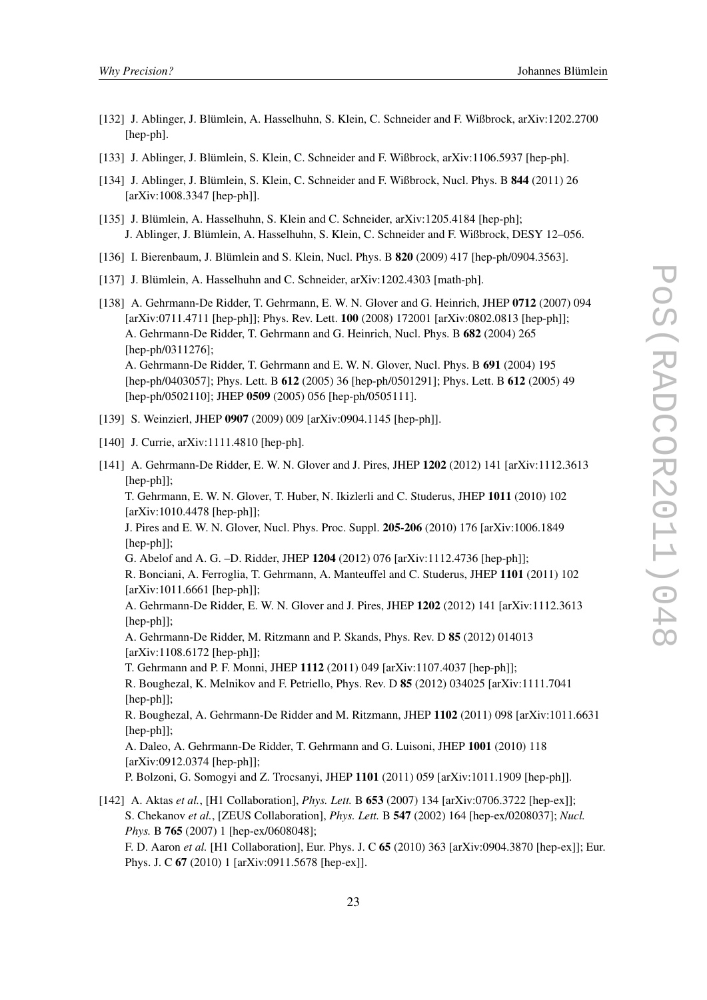- [132] J. Ablinger, J. Blümlein, A. Hasselhuhn, S. Klein, C. Schneider and F. Wißbrock, arXiv:1202.2700 [hep-ph].
- [133] J. Ablinger, J. Blümlein, S. Klein, C. Schneider and F. Wißbrock, arXiv:1106.5937 [hep-ph].
- [134] J. Ablinger, J. Blümlein, S. Klein, C. Schneider and F. Wißbrock, Nucl. Phys. B 844 (2011) 26 [arXiv:1008.3347 [hep-ph]].
- [135] J. Blümlein, A. Hasselhuhn, S. Klein and C. Schneider, arXiv:1205.4184 [hep-ph]; J. Ablinger, J. Blümlein, A. Hasselhuhn, S. Klein, C. Schneider and F. Wißbrock, DESY 12–056.
- [136] I. Bierenbaum, J. Blümlein and S. Klein, Nucl. Phys. B **820** (2009) 417 [hep-ph/0904.3563].
- [137] J. Blümlein, A. Hasselhuhn and C. Schneider, arXiv:1202.4303 [math-ph].
- [138] A. Gehrmann-De Ridder, T. Gehrmann, E. W. N. Glover and G. Heinrich, JHEP 0712 (2007) 094 [arXiv:0711.4711 [hep-ph]]; Phys. Rev. Lett. 100 (2008) 172001 [arXiv:0802.0813 [hep-ph]]; A. Gehrmann-De Ridder, T. Gehrmann and G. Heinrich, Nucl. Phys. B 682 (2004) 265 [hep-ph/0311276]; A. Gehrmann-De Ridder, T. Gehrmann and E. W. N. Glover, Nucl. Phys. B 691 (2004) 195 [hep-ph/0403057]; Phys. Lett. B 612 (2005) 36 [hep-ph/0501291]; Phys. Lett. B 612 (2005) 49 [hep-ph/0502110]; JHEP 0509 (2005) 056 [hep-ph/0505111].
- [139] S. Weinzierl, JHEP 0907 (2009) 009 [arXiv:0904.1145 [hep-ph]].
- [140] J. Currie, arXiv:1111.4810 [hep-ph].
- [141] A. Gehrmann-De Ridder, E. W. N. Glover and J. Pires, JHEP 1202 (2012) 141 [arXiv:1112.3613 [hep-ph]];

T. Gehrmann, E. W. N. Glover, T. Huber, N. Ikizlerli and C. Studerus, JHEP 1011 (2010) 102 [arXiv:1010.4478 [hep-ph]];

J. Pires and E. W. N. Glover, Nucl. Phys. Proc. Suppl. 205-206 (2010) 176 [arXiv:1006.1849 [hep-ph]];

G. Abelof and A. G. –D. Ridder, JHEP 1204 (2012) 076 [arXiv:1112.4736 [hep-ph]];

R. Bonciani, A. Ferroglia, T. Gehrmann, A. Manteuffel and C. Studerus, JHEP 1101 (2011) 102 [arXiv:1011.6661 [hep-ph]];

A. Gehrmann-De Ridder, E. W. N. Glover and J. Pires, JHEP 1202 (2012) 141 [arXiv:1112.3613 [hep-ph]];

A. Gehrmann-De Ridder, M. Ritzmann and P. Skands, Phys. Rev. D 85 (2012) 014013 [arXiv:1108.6172 [hep-ph]];

T. Gehrmann and P. F. Monni, JHEP 1112 (2011) 049 [arXiv:1107.4037 [hep-ph]];

R. Boughezal, K. Melnikov and F. Petriello, Phys. Rev. D 85 (2012) 034025 [arXiv:1111.7041 [hep-ph]];

R. Boughezal, A. Gehrmann-De Ridder and M. Ritzmann, JHEP 1102 (2011) 098 [arXiv:1011.6631 [hep-ph]];

A. Daleo, A. Gehrmann-De Ridder, T. Gehrmann and G. Luisoni, JHEP 1001 (2010) 118 [arXiv:0912.0374 [hep-ph]];

P. Bolzoni, G. Somogyi and Z. Trocsanyi, JHEP 1101 (2011) 059 [arXiv:1011.1909 [hep-ph]].

[142] A. Aktas *et al.*, [H1 Collaboration], *Phys. Lett.* B 653 (2007) 134 [arXiv:0706.3722 [hep-ex]]; S. Chekanov *et al.*, [ZEUS Collaboration], *Phys. Lett.* B 547 (2002) 164 [hep-ex/0208037]; *Nucl. Phys.* B 765 (2007) 1 [hep-ex/0608048];

F. D. Aaron *et al.* [H1 Collaboration], Eur. Phys. J. C 65 (2010) 363 [arXiv:0904.3870 [hep-ex]]; Eur. Phys. J. C 67 (2010) 1 [arXiv:0911.5678 [hep-ex]].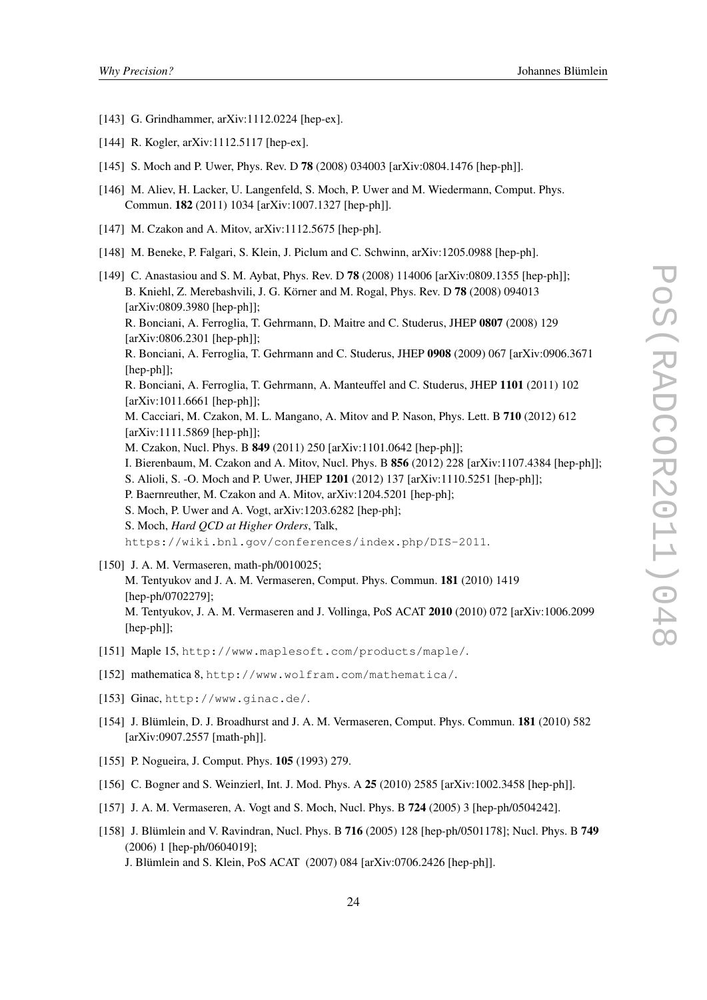- [143] G. Grindhammer, arXiv:1112.0224 [hep-ex].
- [144] R. Kogler, arXiv:1112.5117 [hep-ex].
- [145] S. Moch and P. Uwer, Phys. Rev. D **78** (2008) 034003 [arXiv:0804.1476 [hep-ph]].
- [146] M. Aliev, H. Lacker, U. Langenfeld, S. Moch, P. Uwer and M. Wiedermann, Comput. Phys. Commun. 182 (2011) 1034 [arXiv:1007.1327 [hep-ph]].
- [147] M. Czakon and A. Mitov, arXiv:1112.5675 [hep-ph].
- [148] M. Beneke, P. Falgari, S. Klein, J. Piclum and C. Schwinn, arXiv:1205.0988 [hep-ph].
- [149] C. Anastasiou and S. M. Aybat, Phys. Rev. D 78 (2008) 114006 [arXiv:0809.1355 [hep-ph]]; B. Kniehl, Z. Merebashvili, J. G. Körner and M. Rogal, Phys. Rev. D 78 (2008) 094013 [arXiv:0809.3980 [hep-ph]]; R. Bonciani, A. Ferroglia, T. Gehrmann, D. Maitre and C. Studerus, JHEP 0807 (2008) 129 [arXiv:0806.2301 [hep-ph]]; R. Bonciani, A. Ferroglia, T. Gehrmann and C. Studerus, JHEP 0908 (2009) 067 [arXiv:0906.3671 [hep-ph]]; R. Bonciani, A. Ferroglia, T. Gehrmann, A. Manteuffel and C. Studerus, JHEP 1101 (2011) 102 [arXiv:1011.6661 [hep-ph]]; M. Cacciari, M. Czakon, M. L. Mangano, A. Mitov and P. Nason, Phys. Lett. B 710 (2012) 612 [arXiv:1111.5869 [hep-ph]]; M. Czakon, Nucl. Phys. B 849 (2011) 250 [arXiv:1101.0642 [hep-ph]]; I. Bierenbaum, M. Czakon and A. Mitov, Nucl. Phys. B 856 (2012) 228 [arXiv:1107.4384 [hep-ph]]; S. Alioli, S. -O. Moch and P. Uwer, JHEP 1201 (2012) 137 [arXiv:1110.5251 [hep-ph]]; P. Baernreuther, M. Czakon and A. Mitov, arXiv:1204.5201 [hep-ph]; S. Moch, P. Uwer and A. Vogt, arXiv:1203.6282 [hep-ph]; S. Moch, *Hard QCD at Higher Orders*, Talk, https://wiki.bnl.gov/conferences/index.php/DIS-2011.
- [150] J. A. M. Vermaseren, math-ph/0010025;
	- M. Tentyukov and J. A. M. Vermaseren, Comput. Phys. Commun. 181 (2010) 1419 [hep-ph/0702279]; M. Tentyukov, J. A. M. Vermaseren and J. Vollinga, PoS ACAT 2010 (2010) 072 [arXiv:1006.2099 [hep-ph]];
- [151] Maple 15, http://www.maplesoft.com/products/maple/.
- [152] mathematica 8, http://www.wolfram.com/mathematica/.
- [153] Ginac, http://www.ginac.de/.
- [154] J. Blümlein, D. J. Broadhurst and J. A. M. Vermaseren, Comput. Phys. Commun. 181 (2010) 582 [arXiv:0907.2557 [math-ph]].
- [155] P. Nogueira, J. Comput. Phys. 105 (1993) 279.
- [156] C. Bogner and S. Weinzierl, Int. J. Mod. Phys. A 25 (2010) 2585 [arXiv:1002.3458 [hep-ph]].
- [157] J. A. M. Vermaseren, A. Vogt and S. Moch, Nucl. Phys. B 724 (2005) 3 [hep-ph/0504242].
- [158] J. Blümlein and V. Ravindran, Nucl. Phys. B 716 (2005) 128 [hep-ph/0501178]; Nucl. Phys. B 749 (2006) 1 [hep-ph/0604019];

J. Blümlein and S. Klein, PoS ACAT (2007) 084 [arXiv:0706.2426 [hep-ph]].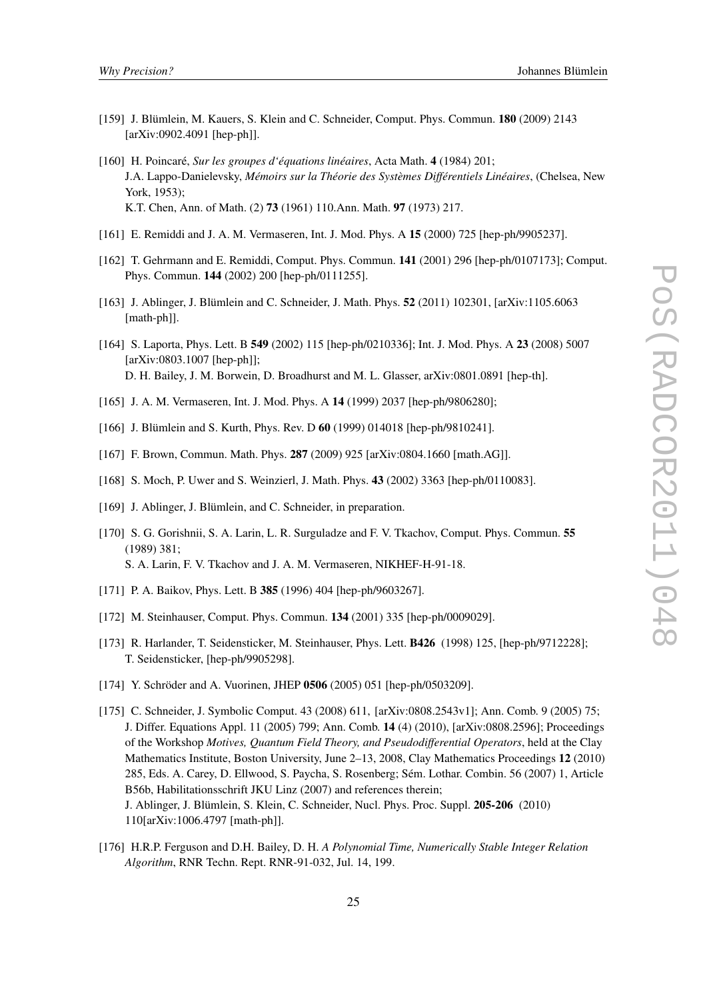- [159] J. Blümlein, M. Kauers, S. Klein and C. Schneider, Comput. Phys. Commun. 180 (2009) 2143 [arXiv:0902.4091 [hep-ph]].
- [160] H. Poincaré, *Sur les groupes d'équations linéaires*, Acta Math. 4 (1984) 201; J.A. Lappo-Danielevsky, *Mémoirs sur la Théorie des Systèmes Différentiels Linéaires*, (Chelsea, New York, 1953); K.T. Chen, Ann. of Math. (2) 73 (1961) 110.Ann. Math. 97 (1973) 217.
- [161] E. Remiddi and J. A. M. Vermaseren, Int. J. Mod. Phys. A 15 (2000) 725 [hep-ph/9905237].
- [162] T. Gehrmann and E. Remiddi, Comput. Phys. Commun. 141 (2001) 296 [hep-ph/0107173]; Comput. Phys. Commun. 144 (2002) 200 [hep-ph/0111255].
- [163] J. Ablinger, J. Blümlein and C. Schneider, J. Math. Phys. 52 (2011) 102301, [arXiv:1105.6063 [math-ph]].
- [164] S. Laporta, Phys. Lett. B 549 (2002) 115 [hep-ph/0210336]; Int. J. Mod. Phys. A 23 (2008) 5007 [arXiv:0803.1007 [hep-ph]]; D. H. Bailey, J. M. Borwein, D. Broadhurst and M. L. Glasser, arXiv:0801.0891 [hep-th].
- [165] J. A. M. Vermaseren, Int. J. Mod. Phys. A 14 (1999) 2037 [hep-ph/9806280];
- [166] J. Blümlein and S. Kurth, Phys. Rev. D 60 (1999) 014018 [hep-ph/9810241].
- [167] F. Brown, Commun. Math. Phys. 287 (2009) 925 [arXiv:0804.1660 [math.AG]].
- [168] S. Moch, P. Uwer and S. Weinzierl, J. Math. Phys. 43 (2002) 3363 [hep-ph/0110083].
- [169] J. Ablinger, J. Blümlein, and C. Schneider, in preparation.
- [170] S. G. Gorishnii, S. A. Larin, L. R. Surguladze and F. V. Tkachov, Comput. Phys. Commun. 55 (1989) 381; S. A. Larin, F. V. Tkachov and J. A. M. Vermaseren, NIKHEF-H-91-18.
- [171] P. A. Baikov, Phys. Lett. B 385 (1996) 404 [hep-ph/9603267].
- [172] M. Steinhauser, Comput. Phys. Commun. **134** (2001) 335 [hep-ph/0009029].
- [173] R. Harlander, T. Seidensticker, M. Steinhauser, Phys. Lett. B426 (1998) 125, [hep-ph/9712228]; T. Seidensticker, [hep-ph/9905298].
- [174] Y. Schröder and A. Vuorinen, JHEP 0506 (2005) 051 [hep-ph/0503209].
- [175] C. Schneider, J. Symbolic Comput. 43 (2008) 611, [arXiv:0808.2543v1]; Ann. Comb. 9 (2005) 75; J. Differ. Equations Appl. 11 (2005) 799; Ann. Comb. 14 (4) (2010), [arXiv:0808.2596]; Proceedings of the Workshop *Motives, Quantum Field Theory, and Pseudodifferential Operators*, held at the Clay Mathematics Institute, Boston University, June 2–13, 2008, Clay Mathematics Proceedings 12 (2010) 285, Eds. A. Carey, D. Ellwood, S. Paycha, S. Rosenberg; Sém. Lothar. Combin. 56 (2007) 1, Article B56b, Habilitationsschrift JKU Linz (2007) and references therein; J. Ablinger, J. Blümlein, S. Klein, C. Schneider, Nucl. Phys. Proc. Suppl. 205-206 (2010) 110[arXiv:1006.4797 [math-ph]].
- [176] H.R.P. Ferguson and D.H. Bailey, D. H. *A Polynomial Time, Numerically Stable Integer Relation Algorithm*, RNR Techn. Rept. RNR-91-032, Jul. 14, 199.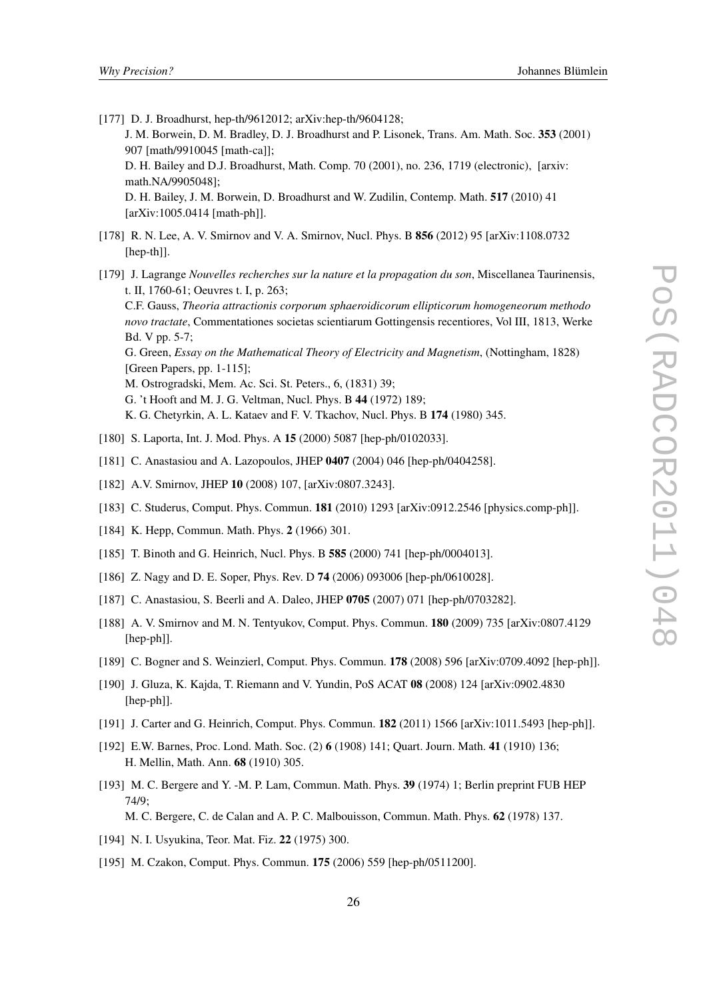- [177] D. J. Broadhurst, hep-th/9612012; arXiv:hep-th/9604128; J. M. Borwein, D. M. Bradley, D. J. Broadhurst and P. Lisonek, Trans. Am. Math. Soc. 353 (2001) 907 [math/9910045 [math-ca]]; D. H. Bailey and D.J. Broadhurst, Math. Comp. 70 (2001), no. 236, 1719 (electronic), [arxiv: math.NA/9905048]; D. H. Bailey, J. M. Borwein, D. Broadhurst and W. Zudilin, Contemp. Math. 517 (2010) 41 [arXiv:1005.0414 [math-ph]].
- [178] R. N. Lee, A. V. Smirnov and V. A. Smirnov, Nucl. Phys. B 856 (2012) 95 [arXiv:1108.0732 [hep-th]].
- [179] J. Lagrange *Nouvelles recherches sur la nature et la propagation du son*, Miscellanea Taurinensis, t. II, 1760-61; Oeuvres t. I, p. 263;
	- C.F. Gauss, *Theoria attractionis corporum sphaeroidicorum ellipticorum homogeneorum methodo novo tractate*, Commentationes societas scientiarum Gottingensis recentiores, Vol III, 1813, Werke Bd. V pp. 5-7;
	- G. Green, *Essay on the Mathematical Theory of Electricity and Magnetism*, (Nottingham, 1828) [Green Papers, pp. 1-115];
	- M. Ostrogradski, Mem. Ac. Sci. St. Peters., 6, (1831) 39;
	- G. 't Hooft and M. J. G. Veltman, Nucl. Phys. B 44 (1972) 189;
	- K. G. Chetyrkin, A. L. Kataev and F. V. Tkachov, Nucl. Phys. B 174 (1980) 345.
- [180] S. Laporta, Int. J. Mod. Phys. A 15 (2000) 5087 [hep-ph/0102033].
- [181] C. Anastasiou and A. Lazopoulos, JHEP 0407 (2004) 046 [hep-ph/0404258].
- [182] A.V. Smirnov, JHEP 10 (2008) 107, [arXiv:0807.3243].
- [183] C. Studerus, Comput. Phys. Commun. **181** (2010) 1293 [arXiv:0912.2546 [physics.comp-ph]].
- [184] K. Hepp, Commun. Math. Phys. 2 (1966) 301.
- [185] T. Binoth and G. Heinrich, Nucl. Phys. B 585 (2000) 741 [hep-ph/0004013].
- [186] Z. Nagy and D. E. Soper, Phys. Rev. D 74 (2006) 093006 [hep-ph/0610028].
- [187] C. Anastasiou, S. Beerli and A. Daleo, JHEP 0705 (2007) 071 [hep-ph/0703282].
- [188] A. V. Smirnov and M. N. Tentyukov, Comput. Phys. Commun. 180 (2009) 735 [arXiv:0807.4129 [hep-ph]].
- [189] C. Bogner and S. Weinzierl, Comput. Phys. Commun. **178** (2008) 596 [arXiv:0709.4092 [hep-ph]].
- [190] J. Gluza, K. Kajda, T. Riemann and V. Yundin, PoS ACAT 08 (2008) 124 [arXiv:0902.4830 [hep-ph]].
- [191] J. Carter and G. Heinrich, Comput. Phys. Commun. **182** (2011) 1566 [arXiv:1011.5493 [hep-ph]].
- [192] E.W. Barnes, Proc. Lond. Math. Soc. (2) 6 (1908) 141; Quart. Journ. Math. 41 (1910) 136; H. Mellin, Math. Ann. 68 (1910) 305.
- [193] M. C. Bergere and Y. -M. P. Lam, Commun. Math. Phys. 39 (1974) 1; Berlin preprint FUB HEP  $74/9$ M. C. Bergere, C. de Calan and A. P. C. Malbouisson, Commun. Math. Phys. 62 (1978) 137.
- [194] N. I. Usyukina, Teor. Mat. Fiz. 22 (1975) 300.
- [195] M. Czakon, Comput. Phys. Commun. **175** (2006) 559 [hep-ph/0511200].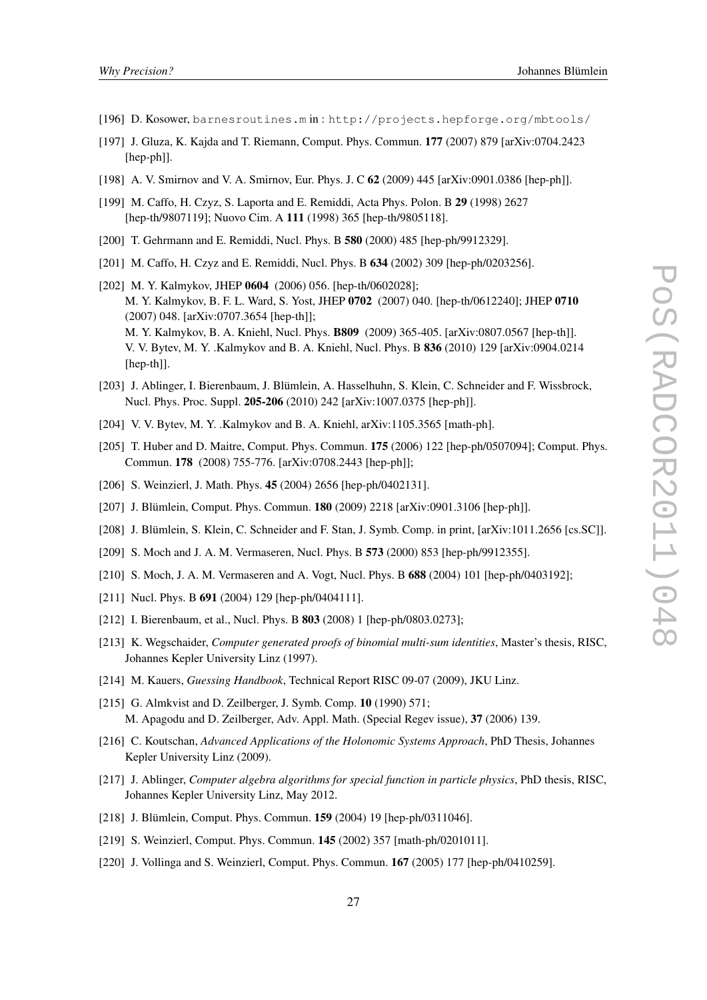- [196] D. Kosower, barnesroutines.m in : http://projects.hepforge.org/mbtools/
- [197] J. Gluza, K. Kajda and T. Riemann, Comput. Phys. Commun. 177 (2007) 879 [arXiv:0704.2423 [hep-ph]].
- [198] A. V. Smirnov and V. A. Smirnov, Eur. Phys. J. C 62 (2009) 445 [arXiv:0901.0386 [hep-ph]].
- [199] M. Caffo, H. Czyz, S. Laporta and E. Remiddi, Acta Phys. Polon. B 29 (1998) 2627 [hep-th/9807119]; Nuovo Cim. A 111 (1998) 365 [hep-th/9805118].
- [200] T. Gehrmann and E. Remiddi, Nucl. Phys. B 580 (2000) 485 [hep-ph/9912329].
- [201] M. Caffo, H. Czyz and E. Remiddi, Nucl. Phys. B 634 (2002) 309 [hep-ph/0203256].
- [202] M. Y. Kalmykov, JHEP 0604 (2006) 056. [hep-th/0602028]; M. Y. Kalmykov, B. F. L. Ward, S. Yost, JHEP 0702 (2007) 040. [hep-th/0612240]; JHEP 0710 (2007) 048. [arXiv:0707.3654 [hep-th]]; M. Y. Kalmykov, B. A. Kniehl, Nucl. Phys. B809 (2009) 365-405. [arXiv:0807.0567 [hep-th]]. V. V. Bytev, M. Y. .Kalmykov and B. A. Kniehl, Nucl. Phys. B 836 (2010) 129 [arXiv:0904.0214 [hep-th]].
- [203] J. Ablinger, I. Bierenbaum, J. Blümlein, A. Hasselhuhn, S. Klein, C. Schneider and F. Wissbrock, Nucl. Phys. Proc. Suppl. 205-206 (2010) 242 [arXiv:1007.0375 [hep-ph]].
- [204] V. V. Bytev, M. Y. .Kalmykov and B. A. Kniehl, arXiv:1105.3565 [math-ph].
- [205] T. Huber and D. Maitre, Comput. Phys. Commun. 175 (2006) 122 [hep-ph/0507094]; Comput. Phys. Commun. 178 (2008) 755-776. [arXiv:0708.2443 [hep-ph]];
- [206] S. Weinzierl, J. Math. Phys. 45 (2004) 2656 [hep-ph/0402131].
- [207] J. Blümlein, Comput. Phys. Commun. 180 (2009) 2218 [arXiv:0901.3106 [hep-ph]].
- [208] J. Blümlein, S. Klein, C. Schneider and F. Stan, J. Symb. Comp. in print, [arXiv:1011.2656 [cs.SC]].
- [209] S. Moch and J. A. M. Vermaseren, Nucl. Phys. B 573 (2000) 853 [hep-ph/9912355].
- [210] S. Moch, J. A. M. Vermaseren and A. Vogt, Nucl. Phys. B 688 (2004) 101 [hep-ph/0403192];
- [211] Nucl. Phys. B **691** (2004) 129 [hep-ph/0404111].
- [212] I. Bierenbaum, et al., Nucl. Phys. B 803 (2008) 1 [hep-ph/0803.0273];
- [213] K. Wegschaider, *Computer generated proofs of binomial multi-sum identities*, Master's thesis, RISC, Johannes Kepler University Linz (1997).
- [214] M. Kauers, *Guessing Handbook*, Technical Report RISC 09-07 (2009), JKU Linz.
- [215] G. Almkvist and D. Zeilberger, J. Symb. Comp. 10 (1990) 571; M. Apagodu and D. Zeilberger, Adv. Appl. Math. (Special Regev issue), 37 (2006) 139.
- [216] C. Koutschan, *Advanced Applications of the Holonomic Systems Approach*, PhD Thesis, Johannes Kepler University Linz (2009).
- [217] J. Ablinger, *Computer algebra algorithms for special function in particle physics*, PhD thesis, RISC, Johannes Kepler University Linz, May 2012.
- [218] J. Blümlein, Comput. Phys. Commun. 159 (2004) 19 [hep-ph/0311046].
- [219] S. Weinzierl, Comput. Phys. Commun. **145** (2002) 357 [math-ph/0201011].
- [220] J. Vollinga and S. Weinzierl, Comput. Phys. Commun. **167** (2005) 177 [hep-ph/0410259].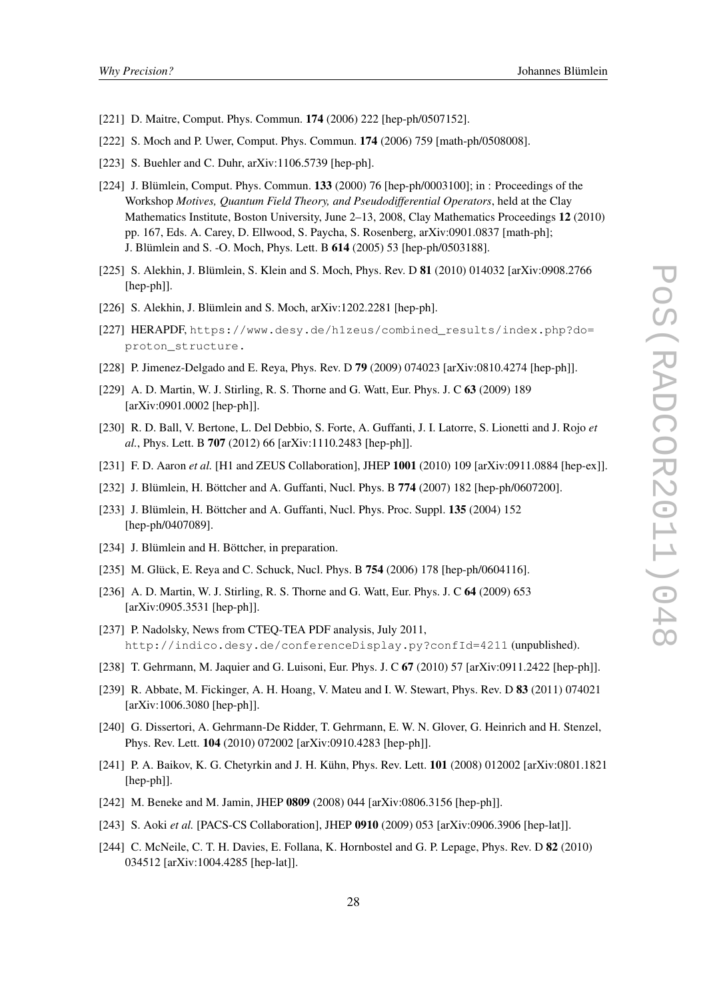- [221] D. Maitre, Comput. Phys. Commun. **174** (2006) 222 [hep-ph/0507152].
- [222] S. Moch and P. Uwer, Comput. Phys. Commun. 174 (2006) 759 [math-ph/0508008].
- [223] S. Buehler and C. Duhr,  $arXiv:1106.5739$  [hep-ph].
- [224] J. Blümlein, Comput. Phys. Commun. 133 (2000) 76 [hep-ph/0003100]; in : Proceedings of the Workshop *Motives, Quantum Field Theory, and Pseudodifferential Operators*, held at the Clay Mathematics Institute, Boston University, June 2–13, 2008, Clay Mathematics Proceedings 12 (2010) pp. 167, Eds. A. Carey, D. Ellwood, S. Paycha, S. Rosenberg, arXiv:0901.0837 [math-ph]; J. Blümlein and S. -O. Moch, Phys. Lett. B 614 (2005) 53 [hep-ph/0503188].
- [225] S. Alekhin, J. Blümlein, S. Klein and S. Moch, Phys. Rev. D 81 (2010) 014032 [arXiv:0908.2766] [hep-ph]].
- [226] S. Alekhin, J. Blümlein and S. Moch, arXiv:1202.2281 [hep-ph].
- [227] HERAPDF, https://www.desy.de/h1zeus/combined\_results/index.php?do= proton\_structure.
- [228] P. Jimenez-Delgado and E. Reya, Phys. Rev. D **79** (2009) 074023 [arXiv:0810.4274 [hep-ph]].
- [229] A. D. Martin, W. J. Stirling, R. S. Thorne and G. Watt, Eur. Phys. J. C 63 (2009) 189 [arXiv:0901.0002 [hep-ph]].
- [230] R. D. Ball, V. Bertone, L. Del Debbio, S. Forte, A. Guffanti, J. I. Latorre, S. Lionetti and J. Rojo *et al.*, Phys. Lett. B 707 (2012) 66 [arXiv:1110.2483 [hep-ph]].
- [231] F. D. Aaron *et al.* [H1 and ZEUS Collaboration], JHEP 1001 (2010) 109 [arXiv:0911.0884 [hep-ex]].
- [232] J. Blümlein, H. Böttcher and A. Guffanti, Nucl. Phys. B 774 (2007) 182 [hep-ph/0607200].
- [233] J. Blümlein, H. Böttcher and A. Guffanti, Nucl. Phys. Proc. Suppl. **135** (2004) 152 [hep-ph/0407089].
- [234] J. Blümlein and H. Böttcher, in preparation.
- [235] M. Glück, E. Reya and C. Schuck, Nucl. Phys. B **754** (2006) 178 [hep-ph/0604116].
- [236] A. D. Martin, W. J. Stirling, R. S. Thorne and G. Watt, Eur. Phys. J. C 64 (2009) 653 [arXiv:0905.3531 [hep-ph]].
- [237] P. Nadolsky, News from CTEQ-TEA PDF analysis, July 2011, http://indico.desy.de/conferenceDisplay.py?confId=4211 (unpublished).
- [238] T. Gehrmann, M. Jaquier and G. Luisoni, Eur. Phys. J. C 67 (2010) 57 [arXiv:0911.2422 [hep-ph]].
- [239] R. Abbate, M. Fickinger, A. H. Hoang, V. Mateu and I. W. Stewart, Phys. Rev. D 83 (2011) 074021 [arXiv:1006.3080 [hep-ph]].
- [240] G. Dissertori, A. Gehrmann-De Ridder, T. Gehrmann, E. W. N. Glover, G. Heinrich and H. Stenzel, Phys. Rev. Lett. 104 (2010) 072002 [arXiv:0910.4283 [hep-ph]].
- [241] P. A. Baikov, K. G. Chetyrkin and J. H. Kühn, Phys. Rev. Lett. 101 (2008) 012002 [arXiv:0801.1821 [hep-ph]].
- [242] M. Beneke and M. Jamin, JHEP 0809 (2008) 044 [arXiv:0806.3156 [hep-ph]].
- [243] S. Aoki *et al.* [PACS-CS Collaboration], JHEP **0910** (2009) 053 [arXiv:0906.3906 [hep-lat]].
- [244] C. McNeile, C. T. H. Davies, E. Follana, K. Hornbostel and G. P. Lepage, Phys. Rev. D 82 (2010) 034512 [arXiv:1004.4285 [hep-lat]].